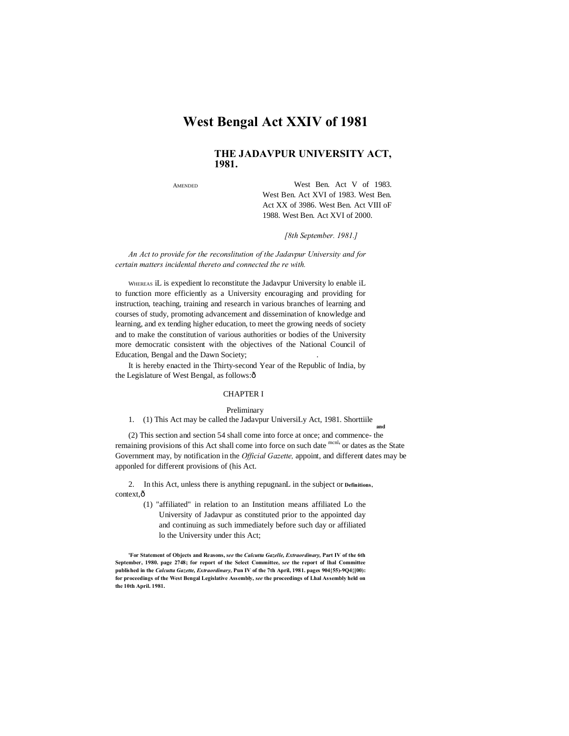# **West Bengal Act XXIV of 1981**

# **THE JADAVPUR UNIVERSITY ACT, 1981.**

**AMENDED** 

West Ben. Act V of 1983. West Ben. Act XVI of 1983. West Ben. Act XX of 3986. West Ben. Act VIII oF 1988. West Ben. Act XVI of 2000.

*[8th September. 1981.]*

*An Act to provide for the reconslitution of the Jadavpur University and for certain matters incidental thereto and connected the re with.*

WHEREAS iL is expedient lo reconstitute the Jadavpur University lo enable iL to function more efficiently as a University encouraging and providing for instruction, teaching, training and research in various branches of learning and courses of study, promoting advancement and dissemination of knowledge and learning, and ex tending higher education, to meet the growing needs of society and to make the constitution of various authorities or bodies of the University more democratic consistent with the objectives of the National Council of Education, Bengal and the Dawn Society; .

It is hereby enacted in the Thirty-second Year of the Republic of India, by the Legislature of West Bengal, as follows: $\hat{o}$ 

# CHAPTER I

### Preliminary

#### 1. (1) This Act may be called the Jadavpur UniversiLy Act, 1981. Shorttiile **and**

(2) This section and section 54 shall come into force at once; and commence- the remaining provisions of this Act shall come into force on such date monl' or dates as the State Government may, by notification in the *Official Gazette,* appoint, and different dates may be apponled for different provisions of (his Act.

2. In this Act, unless there is anything repugnanL in the subject or **Definitions,**  context.ô

> (1) "affiliated" in relation to an Institution means affiliated Lo the University of Jadavpur as constituted prior to the appointed day and continuing as such immediately before such day or affiliated lo the University under this Act;

**<sup>&#</sup>x27;For Statement of Objects and Reasons,** *see* **the** *Calcutta Gazelle, Extraordinary,* **Part IV of the 6th September, 1980. page 2748; for report of the Select Committee,** *see* **the report of lhal Committee published in the** *Calcutta Gazette, Extraordinary,* **Pun IV of the 7th April, 1981. pages 904{55)-9Q4{[00): for proceedings of the West Bengal Legislative Assembly,** *see* **the proceedings of Lhal Assembly held on the 10th April. 1981.**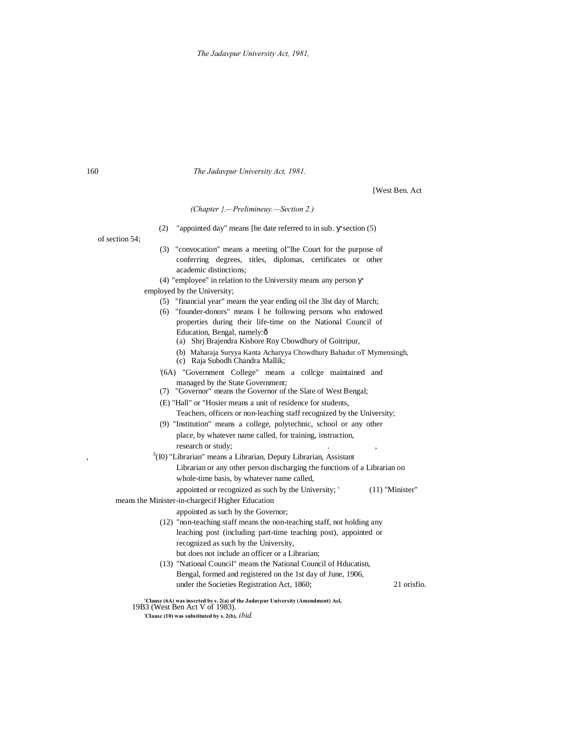160 *The Jadavpur University Act, 1981.*

[West Ben. Act

## *(Chapter }.—Prelimineuy.—Section 2.)*

(2) "appointed day" means [he date referred to in sub. section (5)

of section 54;

,  $\overline{\phantom{a}}$ ,  $\overline{\phantom{a}}$ 

- (3) "convocation" means a meeting oI"lhe Court for the purpose of conferring degrees, titles, diplomas, certificates or other academic distinctions;
- (4) "employee" in relation to the University means any person
- employed by the University;
	- (5) "financial year" means the year ending oil the 3lst day of March;
	- (6) "founder-donors" means I he following persons who endowed properties during their life-time on the National Council of Education, Bengal, namely:—
		- (a) Shrj Brajendra Kishore Roy Cbowdhury of Goitripur,
		- (b) Maharaja Suryya Kanta Acharyya Chowdhury Bahadur oT Mymensingh,
		- (c) Raja Subodh Chandra Mallik;
	- '(6A) "Government College" means a collcge maintained and managed by the State Government;
	- (7) "Governor" means the Governor of the Slate of West Bengal;
	- (E) "Hall" or "Hosier means a unit of residence for students, Teachers, officers or non-leaching staff recognized by the University;
	- (9) "Institution" means a college, polytechnic, school or any other place, by whatever name called, for training, instruction, research or study;
	- $3(10)$  "Librarian" means a Librarian, Deputy Librarian, Assistant
		- Librarian or any other person discharging the functions of a Librarian on whole-time basis, by whatever name called,

appointed or recognized as such by the University; ' (11) "Minister"

# means the Minister-in-chargecif Higher Education

appointed as such by the Governor;

- (12) "non-teaching staff means the non-teaching staff, not holding any leaching post (including part-time teaching post), appointed or recognized as such by the University, but does not include an officer or a Librarian;
- (13) "National Council" means the National Council of Hducatisn, Bengal, formed and registered on the 1st day of June, 1906, under the Societies Registration Act, 1860; 21 orisfio.

**'Clause (6A) was inserted by s. 2(a) of the Jadavpur University (Amendment) Acl,** 19B3 (West Ben Act V of 1983).

**; CIausc (10) was substituted by s. 2(b),** *ibid.*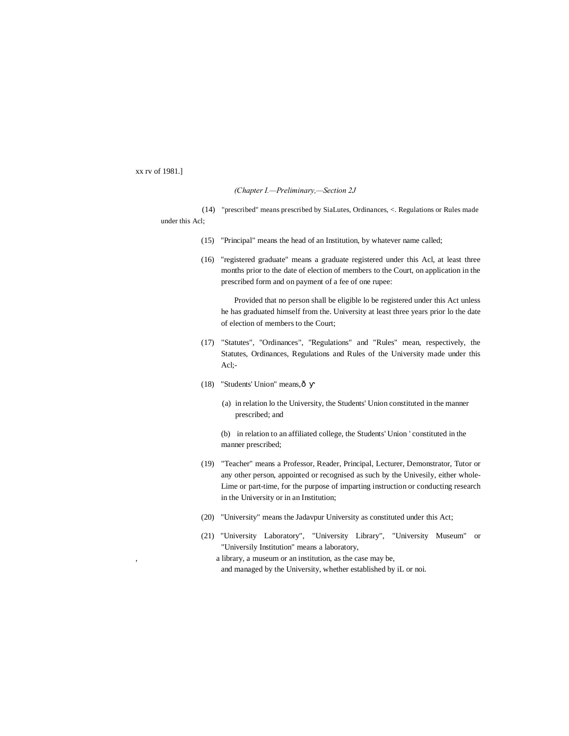xx rv of 1981.]

#### *(Chapter I.—Preliminary,—Section 2J*

- (14) "prescribed" means prescribed by SiaLutes, Ordinances, <. Regulations or Rules made under this Acl;
	- (15) "Principal" means the head of an Institution, by whatever name called;
	- (16) "registered graduate" means a graduate registered under this Acl, at least three months prior to the date of election of members to the Court, on application in the prescribed form and on payment of a fee of one rupee:

Provided that no person shall be eligible lo be registered under this Act unless he has graduated himself from the. University at least three years prior lo the date of election of members to the Court;

- (17) "Statutes", "Ordinances", "Regulations" and "Rules" mean, respectively, the Statutes, Ordinances, Regulations and Rules of the University made under this Acl;-
- (18) "Students' Union" means, ô
	- (a) in relation lo the University, the Students' Union constituted in the manner prescribed; and
	- (b) in relation to an affiliated college, the Students' Union ' constituted in the manner prescribed;
- (19) "Teacher" means a Professor, Reader, Principal, Lecturer, Demonstrator, Tutor or any other person, appointed or recognised as such by the Univesily, either whole-Lime or part-time, for the purpose of imparting instruction or conducting research in the University or in an Institution;
- (20) "University" means the Jadavpur University as constituted under this Act;
- (21) "University Laboratory", "University Library", "University Museum" or "Universily Institution" means a laboratory,
	- , a library, a museum or an institution, as the case may be, and managed by the University, whether established by iL or noi.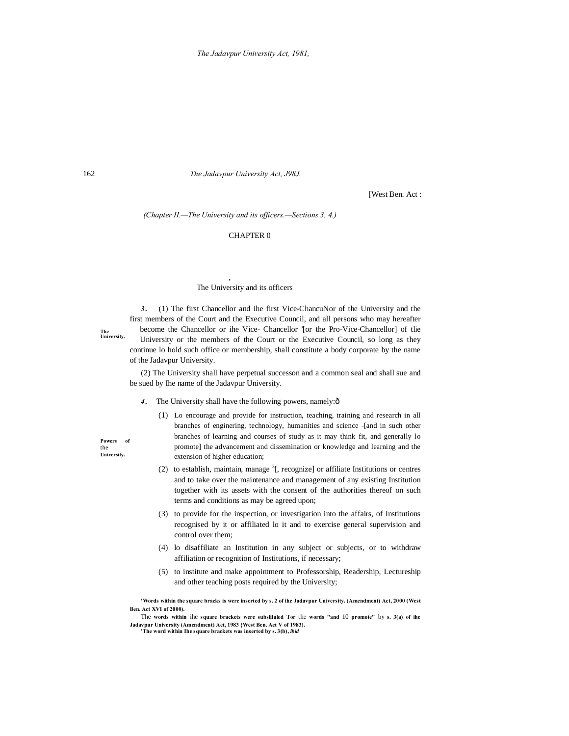162 *The Jadavpur University Act, J98J.*

[West Ben. Act :

*(Chapter II.—The University and its officers.—Sections 3, 4.)*

# CHAPTER 0

## The University and its officers

,

*3 .* (1) The first Chancellor and ihe first Vice-ChancuNor of the University and the first members of the Court and the Executive Council, and all persons who may hereafter become the Chancellor or ihe Vice- Chancellor '[or the Pro-Vice-Chancellor] of tlie University or the members of the Court or the Executive Council, so long as they continue lo hold such office or membership, shall constitute a body corporate by the name of the Jadavpur University.

(2) The University shall have perpetual successon and a common seal and shall sue and be sued by Ihe name of the Jadavpur University.

- 4. The University shall have the following powers, namely: $\hat{o}$ 
	- (1) Lo encourage and provide for instruction, teaching, training and research in all branches of enginering, technology, humanities and science -[and in such other branches of learning and courses of study as it may think fit, and generally lo promote] the advancement and dissemination or knowledge and learning and the extension of higher education;
	- (2) to establish, maintain, manage  ${}^{3}$ [, recognize] or affiliate Institutions or centres and to take over the maintenance and management of any existing Institution together with its assets with the consent of the authorities thereof on such terms and conditions as may be agreed upon;
	- (3) to provide for the inspection, or investigation into the affairs, of Institutions recognised by it or affiliated lo it and to exercise general supervision and control over them;
	- (4) lo disaffiliate an Institution in any subject or subjects, or to withdraw affiliation or recognition of Institutions, if necessary;
	- (5) to institute and make appointment to Professorship, Readership, Lectureship and other teaching posts required by the University;

**'Words within the square bracks is were inserted by s. 2 of ihe Jadavpur University. (Amendment) Act, 2000 (West Ben. Act XVI of 2000).**

The **words within** ihe **square brackets were subsliluled Tor** the **words "and** 10 **promote"** by **s. 3(a) of ihe Jadavpur University (Amendment) Act, 1983 {West Ben. Act V of 1983). 'The word within Ihe square brackets was inserted by s. 3(b),** *ibid*

**The University.**

**Powers of** 

the **University.**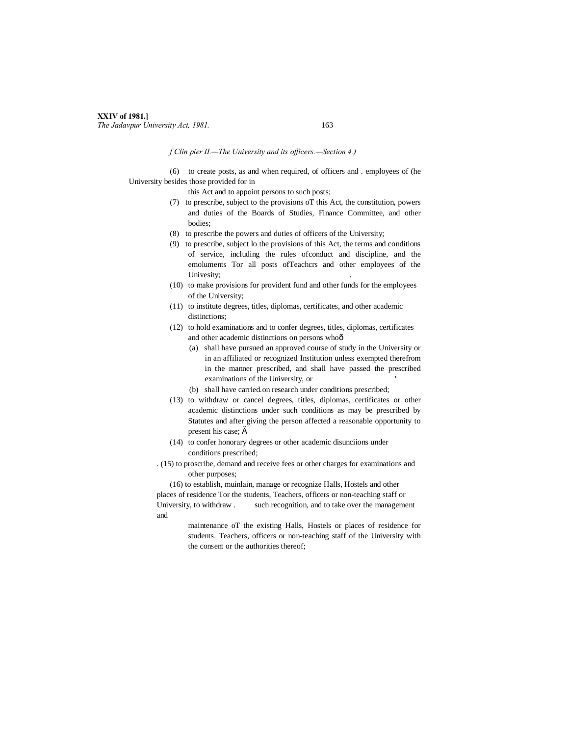# **XXIV of 1981.]** *The Jadavpur University Act, 1981.* 163

## *f Clin pier II.—The University and its officers.—Section 4.)*

(6) to create posts, as and when required, of officers and . employees of (he University besides those provided for in

this Act and to appoint persons to such posts;

- (7) to prescribe, subject to the provisions oT this Act, the constitution, powers and duties of the Boards of Studies, Finance Committee, and other bodies;
- (8) to prescribe the powers and duties of officers of the University;
- (9) to prescribe, subject lo the provisions of this Act, the terms and conditions of service, including the rules ofconduct and discipline, and the emoluments Tor all posts ofTeachcrs and other employees of the Univesity;
- (10) to make provisions for provident fund and other funds for the employees of the University;
- (11) to institute degrees, titles, diplomas, certificates, and other academic distinctions:
- (12) to hold examinations and to confer degrees, titles, diplomas, certificates and other academic distinctions on persons whoô
	- (a) shall have pursued an approved course of study in the University or in an affiliated or recognized Institution unless exempted therefrom in the manner prescribed, and shall have passed the prescribed examinations of the University, or
	- (b) shall have carried.on research under conditions prescribed;
- (13) to withdraw or cancel degrees, titles, diplomas, certificates or other academic distinctions under such conditions as may be prescribed by Statutes and after giving the person affected a reasonable opportunity to present his case;  $\check{s}$
- (14) to confer honorary degrees or other academic disunciions under conditions prescribed;
- . (15) to proscribe, demand and receive fees or other charges for examinations and other purposes;

(16) to establish, muinlain, manage or recognize Halls, Hostels and other places of residence Tor the students, Teachers, officers or non-teaching staff or University, to withdraw . such recognition, and to take over the management and

> maintenance oT the existing Halls, Hostels or places of residence for students. Teachers, officers or non-teaching staff of the University with the consent or the authorities thereof;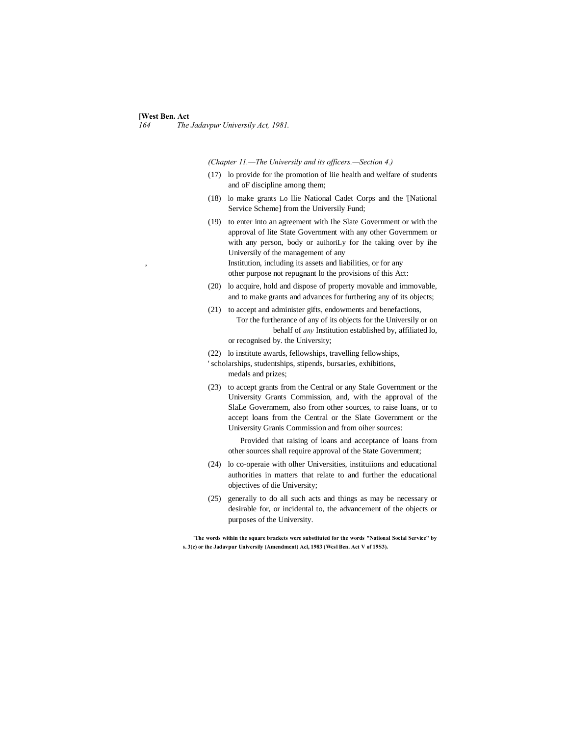# **[West Ben. Act**]<br>164 The

*164 The Jadavpur Universily Act, 1981.*

*(Chapter 11.—The Universily and its officers.—Section 4.)*

- (17) lo provide for ihe promotion of liie health and welfare of students and oF discipline among them;
- (18) lo make grants Lo llie National Cadet Corps and the '[National Service Scheme] from the Universily Fund;
- (19) to enter into an agreement with Ihe Slate Government or with the approval of lite State Government with any other Governmem or with any person, body or auihoriLy for Ihe taking over by ihe Universily of the management of any Institution, including its assets and liabilities, or for any other purpose not repugnant lo the provisions of this Act:
- (20) lo acquire, hold and dispose of property movable and immovable, and to make grants and advances for furthering any of its objects;
- (21) to accept and administer gifts, endowments and benefactions, Tor the furtherance of any of its objects for the Universily or on behalf of *any* Institution established by, affiliated lo, or recognised by. the University;
- (22) lo institute awards, fellowships, travelling fellowships,
- ' scholarships, studentships, stipends, bursaries, exhibitions, medals and prizes;
- (23) to accept grants from the Central or any Stale Government or the University Grants Commission, and, with the approval of the SlaLe Governmem, also from other sources, to raise loans, or to accept loans from the Central or the Slate Government or the University Granis Commission and from oiher sources:

Provided that raising of loans and acceptance of loans from other sources shall require approval of the State Government;

- (24) lo co-operaie with olher Universities, instituiions and educational authorities in matters that relate to and further the educational objectives of die University;
- (25) generally to do all such acts and things as may be necessary or desirable for, or incidental to, the advancement of the objects or purposes of the University.

**'The words within the square brackets were substituted for the words "National Social Service" by s. 3(c) or ihe Jadavpur Universily (Amendment) Acl, 1983 (Wcsl Ben. Act V of 19S3).**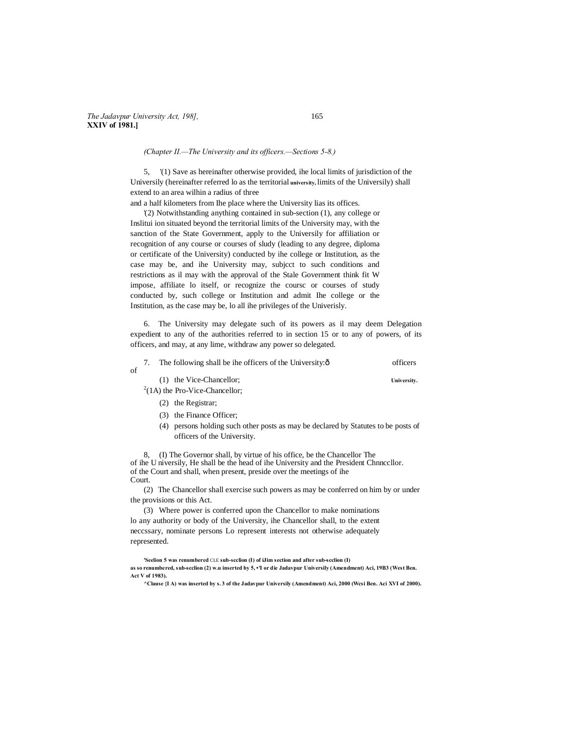*(Chapter II.—The University and its officers.—Sections 5-8.)*

5, '(1) Save as hereinafter otherwise provided, ihe local limits of jurisdiction of the Universily (hereinafter referred lo as the territorial **university,** limits of the Universily) shall extend to an area wilhin a radius of three

and a half kilometers from Ihe place where the University lias its offices.

'(2) Notwithstanding anything contained in sub-section (1), any college or Inslitui ion situated beyond the territorial limits of the University may, with the sanction of the State Government, apply to the Universily for affiliation or recognition of any course or courses of sludy (leading to any degree, diploma or certificate of the University) conducted by ihe college or Institution, as the case may be, and ihe University may, subjcct to such conditions and restrictions as il may with the approval of the Stale Government think fit W impose, affiliate lo itself, or recognize the coursc or courses of study conducted by, such college or Institution and admit Ihe college or the Institution, as the case may be, lo all ihe privileges of the Univerisly.

6. The University may delegate such of its powers as il may deem Delegation expedient to any of the authorities referred to in section 15 or to any of powers, of its officers, and may, at any lime, withdraw any power so delegated.

| of |  | The following shall be ihe officers of the University: $\hat{o}$ | officers    |
|----|--|------------------------------------------------------------------|-------------|
|    |  | (1) the Vice-Chancellor;                                         | University. |
|    |  | $^{2}(1A)$ the Pro-Vice-Chancellor;                              |             |

- (2) the Registrar;
- (3) the Finance Officer;
- (4) persons holding such other posts as may be declared by Statutes to be posts of officers of the University.

8, (I) The Governor shall, by virtue of his office, be the Chancellor The of ihe U niversily, He shall be the head of ihe University and the President Chnnccllor. of the Court and shall, when present, preside over the meetings of ihe Court.

(2) The Chancellor shall exercise such powers as may be conferred on him by or under the provisions or this Act.

(3) Where power is conferred upon the Chancellor to make nominations lo any authority or body of the University, ihe Chancellor shall, to the extent neccssary, nominate persons Lo represent interests not otherwise adequately represented.

**'Seelion 5 was renumbered** CLE **sub-scclion (I) of iJim section and after sub-scclion (I)**

**as so renumbered, sub-scclion (2) w.u inserted by 5, •'I or die Jadavpur Universily (Amendment) Aci, 19B3 (West Ben. Act V of 1983).**

**<sup>^</sup>Clause {I A) was inserted by s. 3 of the Jadavpur Universily (Amendment) Aci, 2000 (Wcsi Ben. Aci XVI of 2000).**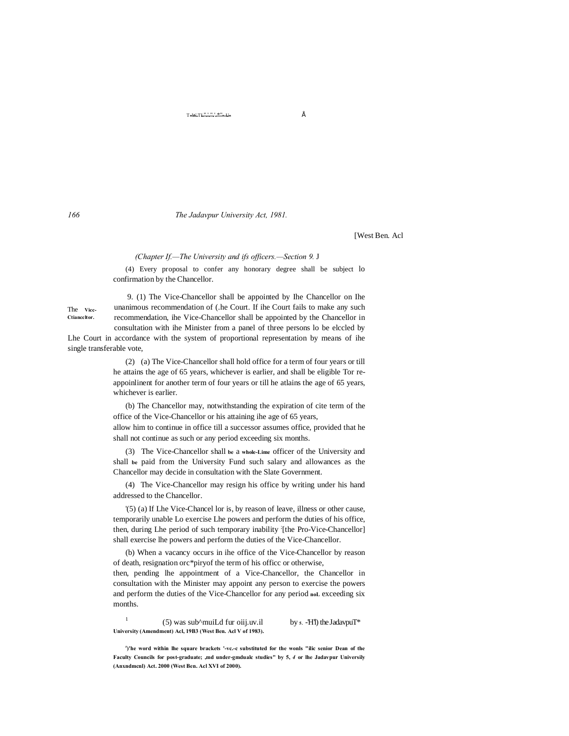$T-W.TL\overset{n+1}{\ldots}$   $\overset{n}{\ldots}$   $U-$ 

*166 The Jadavpur University Act, 1981.*

[West Ben. Acl

#### *(Chapter If.—The University and ifs officers.—Section 9.* J

(4) Every proposal to confer any honorary degree shall be subject lo confirmation by the Chancellor.

The **Vicc-Ctianccltor.**

9. (1) The Vice-Chancellor shall be appointed by Ihe Chancellor on Ihe unanimous recommendation of (.he Court. If ihe Court fails to make any such recommendation, ihe Vice-Chancellor shall be appointed by the Chancellor in consultation with ihe Minister from a panel of three persons lo be elccled by

Lhe Court in accordance with the system of proportional representation by means of ihe single transferable vote,

> (2) (a) The Vice-Chancellor shall hold office for a term of four years or till he attains the age of 65 years, whichever is earlier, and shall be eligible Tor reappoinlinent for another term of four years or till he atlains the age of 65 years, whichever is earlier.

> (b) The Chancellor may, notwithstanding the expiration of cite term of the office of the Vice-Chancellor or his attaining ihe age of 65 years,

> allow him to continue in office till a successor assumes office, provided that he shall not continue as such or any period exceeding six months.

> (3) The Vice-Chancellor shall **be** a **whole-Lime** officer of the University and shall **be** paid from the University Fund such salary and allowances as the Chancellor may decide in consultation with the Slate Government.

> (4) The Vice-Chancellor may resign his office by writing under his hand addressed to the Chancellor.

> '(5) (a) If Lhe Vice-Chancel lor is, by reason of leave, illness or other cause, temporarily unable Lo exercise Lhe powers and perform the duties of his office, then, during Lhe period of such temporary inability [the Pro-Vice-Chancellor] shall exercise lhe powers and perform the duties of the Vice-Chancellor.

> (b) When a vacancy occurs in ihe office of the Vice-Chancellor by reason of death, resignation orc\*piryof the term of his officc or otherwise,

> then, pending lhe appointment of a Vice-Chancellor, the Chancellor in consultation with the Minister may appoint any person to exercise the powers and perform the duties of the Vice-Chancellor for any period **noL** exceeding six months.

<sup>1</sup> (5) was sub^muiLd fur oiij.uv.il by  $\mathbf{s}$ . -H'l) the JadavpuT<sup>\*</sup> **University (Amendment) Acl, 19B3 (West Ben. Acl V of 1983).**

<sup>r</sup>)'he word within lhe square brackets '-vc.-c substituted for the wonls "ilic senior Dean of the **Faculty Councils for post-graduate; ,md under-gmdualc studies" by 5,** *4* **or lhe Jadavpur Universily (Anxndmcnl) Act. 2000 (West Ben. Acl XVI of 2000).**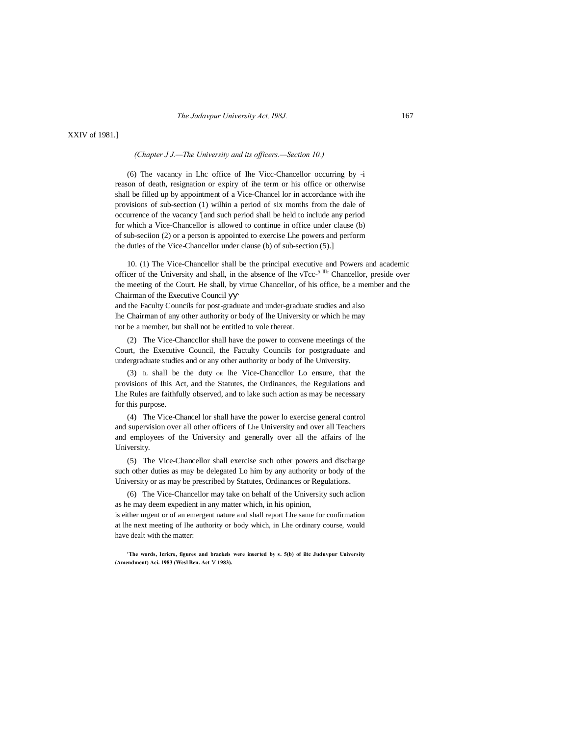XXIV of 1981.]

*(Chapter J J.—The University and its officers.—Section 10.)*

(6) The vacancy in Lhc office of Ihe Vicc-Chancellor occurring by -i reason of death, resignation or expiry of ihe term or his office or otherwise shall be filled up by appointment of a Vice-Chancel lor in accordance with ihe provisions of sub-section (1) wilhin a period of six months from the dale of occurrence of the vacancy '[and such period shall be held to include any period for which a Vice-Chancellor is allowed to continue in office under clause (b) of sub-seciion (2) or a person is appointed to exercise Lhe powers and perform the duties of the Vice-Chancellor under clause (b) of sub-section (5).]

10. (1) The Vice-Chancellor shall be the principal executive and Powers and academic officer of the University and shall, in the absence of lhe vTcc<sup> $-5$  llk</sup> Chancellor, preside over the meeting of the Court. He shall, by virtue Chancellor, of his office, be a member and the Chairman of the Executive Council

and the Faculty Councils for post-graduate and under-graduate studies and also lhe Chairman of any other authority or body of lhe University or which he may not be a member, but shall not be entitled to vole thereat.

(2) The Vice-Chanccllor shall have the power to convene meetings of the Court, the Executive Council, the Factulty Councils for postgraduate and undergraduate studies and or any other authority or body of lhe University.

(3) IL shall be the duty OR lhe Vice-Chanccllor Lo ensure, that the provisions of Ihis Act, and the Statutes, the Ordinances, the Regulations and Lhe Rules are faithfully observed, and to lake such action as may be necessary for this purpose.

(4) The Vice-Chancel lor shall have the power lo exercise general control and supervision over all other officers of Lhe University and over all Teachers and employees of the University and generally over all the affairs of lhe University.

(5) The Vice-Chancellor shall exercise such other powers and discharge such other duties as may be delegated Lo him by any authority or body of the University or as may be prescribed by Statutes, Ordinances or Regulations.

(6) The Vice-Chancellor may take on behalf of the University such aclion as he may deem expedient in any matter which, in his opinion,

is either urgent or of an emergent nature and shall report Lhe same for confirmation at lhe next meeting of Ihe authority or body which, in Lhe ordinary course, would have dealt with the matter:

**'The words, Icricrs, figures and brackels were inserted by s. 5(b) of iltc Juduvpur University (Amendment) Aci. 1983 (Wesl Ben. Act** V **1983).**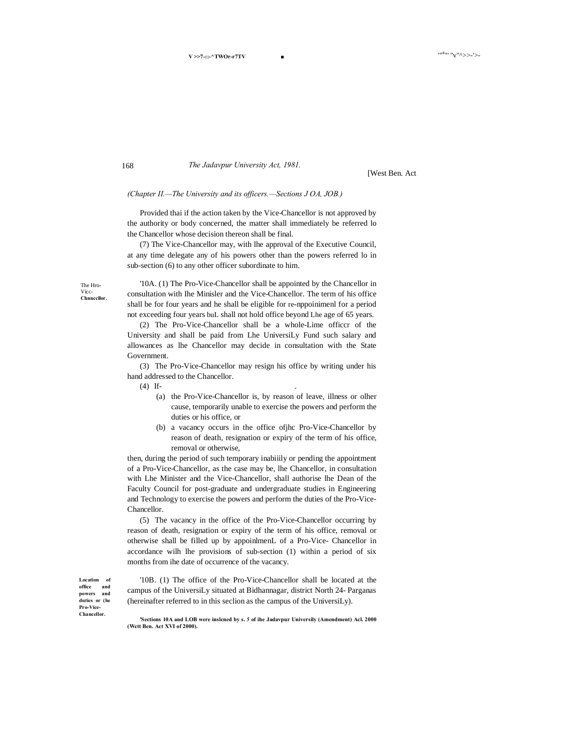*The Jadavpur University Act, 1981.*

[West Ben. Act

### *(Chapter II.—The University and its officers.—Sections J OA, JOB.)*

Provided thai if the action taken by the Vice-Chancellor is not approved by the authority or body concerned, the matter shall immediately be referred lo the Chancellor whose decision thereon shall be final.

(7) The Vice-Chancellor may, with lhe approval of the Executive Council, at any time delegate any of his powers other than the powers referred lo in sub-section (6) to any other officer subordinate to him.

The Hro-Vicc-**Chnnccllor.**

**Location of office and powers and duties or (he Pro-Vice-Chancellor.**

'10A. (1) The Pro-Vice-Chancellor shall be appointed by the Chancellor in consultation with Ihe Minisler and the Vice-Chancellor. The term of his office shall be for four years and he shall be eligible for re-nppoinimenl for a period not exceeding four years buL shall not hold office beyond Lhe age of 65 years.

(2) The Pro-Vice-Chancellor shall be a whole-Lime officcr of the University and shall be paid from Lhe UniversiLy Fund such salary and allowances as lhe Chancellor may decide in consultation with the State Government.

(3) The Pro-Vice-Chancellor may resign his office by writing under his hand addressed to the Chancellor.

(4) If- .

- (a) the Pro-Vice-Chancellor is, by reason of leave, illness or olher cause, temporarily unable to exercise the powers and perform the duties or his office, or
- (b) a vacancy occurs in the office ofjhc Pro-Vice-Chancellor by reason of death, resignation or expiry of the term of his office, removal or otherwise,

then, during the period of such temporary inabiiily or pending the appointment of a Pro-Vice-Chancellor, as the case may be, lhe Chancellor, in consultation with Lhe Minister and the Vice-Chancellor, shall authorise lhe Dean of the Faculty Council for post-graduate and undergraduate studies in Engineering and Technology to exercise the powers and perform the duties of the Pro-Vice-Chancellor.

(5) The vacancy in the office of the Pro-Vice-Chancellor occurring by reason of death, resignation or expiry of the term of his office, removal or otherwise shall be filled up by appoinlmenL of a Pro-Vice- Chancellor in accordance wilh lhe provisions of sub-section (1) within a period of six months from ihe date of occurrence of the vacancy.

'10B. (1) The office of the Pro-Vice-Chancellor shall be located at the campus of the UniversiLy situated at Bidhannagar, district North 24- Parganas (hereinafter referred to in this seclion as the campus of the UniversiLy).

168

**(Wctt Ben. Act XVI of 2000).**

**<sup>&#</sup>x27;Sections 10A and LOB were inslcned by s.** *5* **of ihe Jadavpur Universily (Amendment) Acl. 2000**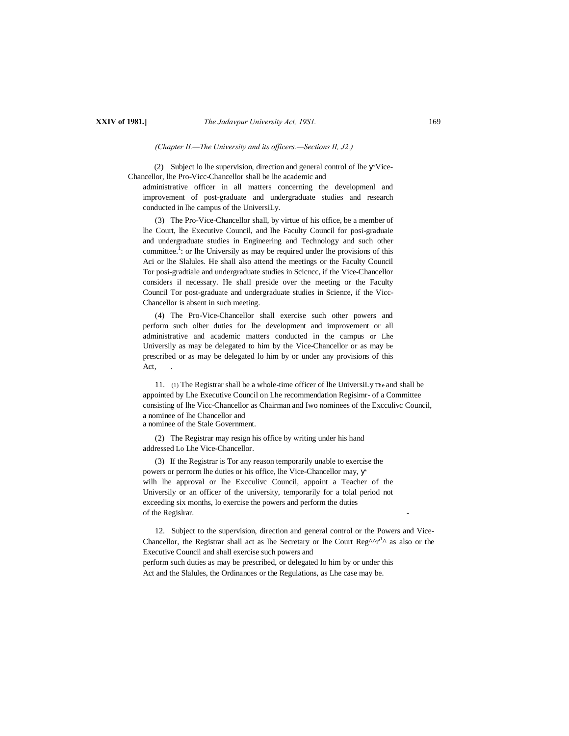*(Chapter II.—The University and its officers.—Sections II, J2.)*

(2) Subject lo lhe supervision, direction and general control of lhe Vice-Chancellor, lhe Pro-Vicc-Chancellor shall be lhe academic and

administrative officer in all matters concerning the developmenl and improvement of post-graduate and undergraduate studies and research conducted in lhe campus of the UniversiLy.

(3) The Pro-Vice-Chancellor shall, by virtue of his office, be a member of lhe Court, lhe Executive Council, and lhe Faculty Council for posi-graduaie and undergraduate studies in Engineering and Technology and such other committee.<sup>1</sup>: or lhe Universily as may be required under lhe provisions of this Aci or lhe Slalules. He shall also attend the meetings or the Faculty Council Tor posi-gradtiale and undergraduate studies in Scicncc, if the Vice-Chancellor considers il necessary. He shall preside over the meeting or the Faculty Council Tor post-graduate and undergraduate studies in Science, if the Vicc-Chancellor is absent in such meeting.

(4) The Pro-Vice-Chancellor shall exercise such other powers and perform such olher duties for lhe development and improvement or all administrative and academic matters conducted in the campus or Lhe Universily as may be delegated to him by the Vice-Chancellor or as may be prescribed or as may be delegated lo him by or under any provisions of this Act,

11. (1) The Registrar shall be a whole-time officer of lhe UniversiLy The and shall be appointed by Lhe Executive Council on Lhe recommendation Regisimr- of a Committee consisting of lhe Vicc-Chancellor as Chairman and Iwo nominees of the Excculivc Council, a nominee of lhe Chancellor and a nominee of the Stale Government.

(2) The Registrar may resign his office by writing under his hand addressed Lo Lhe Vice-Chancellor.

(3) If the Registrar is Tor any reason temporarily unable to exercise the powers or perrorm lhe duties or his office, lhe Vice-Chancellor may, wilh lhe approval or lhe Excculivc Council, appoint a Teacher of the Universily or an officer of the university, temporarily for a tolal period not exceeding six months, lo exercise the powers and perform the duties of the Regislrar.

12. Subject to the supervision, direction and general control or the Powers and Vice-Chancellor, the Registrar shall act as lhe Secretary or lhe Court  $Reg^{\Lambda}r^{1\Lambda}$  as also or the Executive Council and shall exercise such powers and perform such duties as may be prescribed, or delegated lo him by or under this Act and the Slalules, the Ordinances or the Regulations, as Lhe case may be.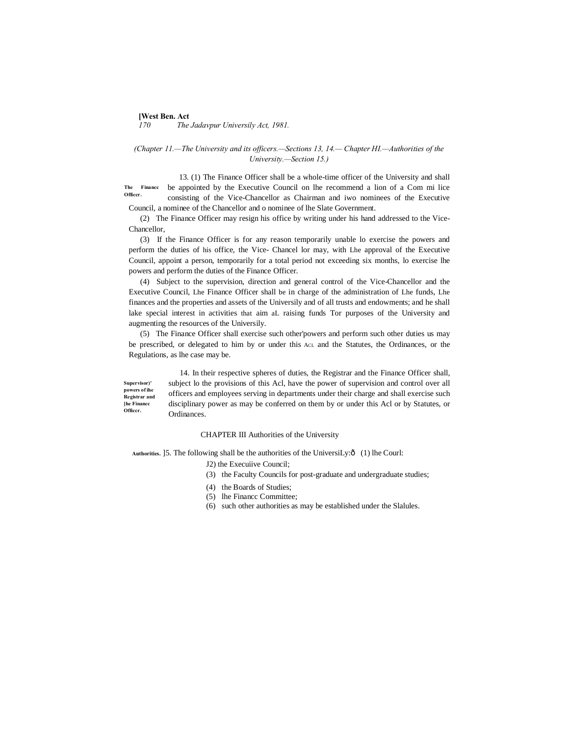# **[West Ben. Act**]<br>170 The *170 The Jadavpur Universily Act, 1981.*

# *(Chapter 11.—The University and its officers.—Sections 13, 14.— Chapter HI.—Authorities of the University.—Section 15.)*

**The Financc Officcr.** 13. (1) The Finance Officer shall be a whole-time officer of the University and shall be appointed by the Executive Council on lhe recommend a lion of a Com mi lice consisting of the Vice-Chancellor as Chairman and iwo nominees of the Executive Council, a nominee of the Chancellor and o nominee of lhe Slate Government.

(2) The Finance Officer may resign his office by writing under his hand addressed to the Vice-Chancellor,

(3) If the Finance Officer is for any reason temporarily unable lo exercise the powers and perform the duties of his office, the Vice- Chancel lor may, with Lhe approval of the Executive Council, appoint a person, temporarily for a total period not exceeding six months, lo exercise lhe powers and perform the duties of the Finance Officer.

(4) Subject to the supervision, direction and general control of the Vice-Chancellor and the Executive Council, Lhe Finance Officer shall be in charge of the administration of Lhe funds, Lhe finances and the properties and assets of the Universily and of all trusts and endowments; and he shall lake special interest in activities that aim aL raising funds Tor purposes of the University and augmenting the resources of the Universily.

(5) The Finance Officer shall exercise such other'powers and perform such other duties us may be prescribed, or delegated to him by or under this ACL and the Statutes, the Ordinances, or the Regulations, as lhe case may be.

**Supervisor)' powers of ihe Registrar and [he Financc Officcr.** 14. In their respective spheres of duties, the Registrar and the Finance Officer shall, subject lo the provisions of this Acl, have the power of supervision and control over all officers and employees serving in departments under their charge and shall exercise such disciplinary power as may be conferred on them by or under this Acl or by Statutes, or Ordinances.

## CHAPTER III Authorities of the University

Authorities. ]5. The following shall be the authorities of the UniversiLy: $\hat{o}$  (1) lhe Courl:

J2) the Execuiive Council;

- (3) the Faculty Councils for post-graduate and undergraduate studies;
- (4) the Boards of Studies;
- (5) lhe Financc Committee;
- (6) such other authorities as may be established under the Slalules.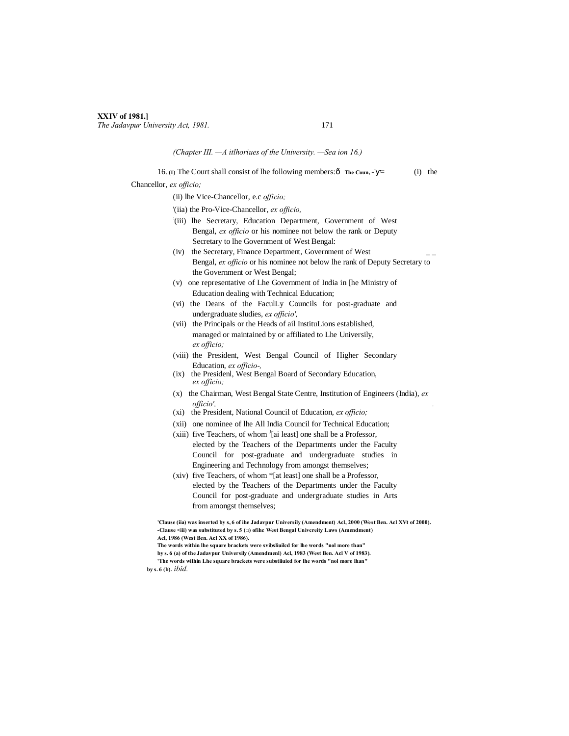#### **XXIV of 1981.]** *The Jadavpur University Act, 1981.* 171

## *(Chapter III. —A itlhoriues of the University. —Sea ion 16.)*

16. (1) The Court shall consist of lhe following members: $\hat{\text{o}}$  The Coun,  $\text{-}^{\text{t}}$  = (i) the Chancellor, *ex officio;*

(ii) lhe Vice-Chancellor, e.c *officio;*

'(iia) the Pro-Vice-Chancellor, *ex officio,*

- : (iii) lhe Secretary, Education Department, Government of West Bengal, *ex officio* or his nominee not below the rank or Deputy Secretary to lhe Government of West Bengal:
- (iv) the Secretary, Finance Department, Government of West \_ \_ Bengal, *ex officio* or his nominee not below lhe rank of Deputy Secretary to the Government or West Bengal;
- (v) one representative of Lhe Government of India in [he Ministry of Education dealing with Technical Education;
- (vi) the Deans of the FaculLy Councils for post-graduate and undergraduate sludies, *ex officio',*
- (vii) the Principals or the Heads of ail InstituLions established, managed or maintained by or affiliated to Lhe Universily, *ex officio;*
- (viii) the President, West Bengal Council of Higher Secondary Education, *ex officio-,*
- (ix) the Presidenl, West Bengal Board of Secondary Education, *ex officio;*
- (x) the Chairman, West Bengal State Centre, Institution of Engineers (India), *ex officio', .*
- (xi) the President, National Council of Education, *ex officio;*
- (xii) one nominee of lhe All India Council for Technical Education;
- (xiii) five Teachers, of whom  $I$ [ai least] one shall be a Professor, elected by the Teachers of the Departments under the Faculty Council for post-graduate and undergraduate studies in Engineering and Technology from amongst themselves;
- (xiv) five Teachers, of whom \*[at least] one shall be a Professor, elected by the Teachers of the Departments under the Faculty Council for post-graduate and undergraduate studies in Arts from amongst themselves;

**'Clause (iia) was inserted by s, 6 of ihe Jadavpur Universily (Amendment) Acl, 2000 (West Ben. Acl XVt of 2000). -Clause <iii) was substituted by s. 5 (□) ofihc West Bengal Univcreity Laws (Amendment) Acl, 1986 (West Ben. Acl XX of 1986).**

**by s. 6 (b).** *ibid.*

**The words within lhe square brackets were svibsliuilcd for lhe words "nol more than" by s. 6 (a) of the Jadavpur Universily (Amendmenl) Acl, 1983 (West Ben. Acl V of 1983). 'The words wilhin Lhe square brackets were substiiuied for lhe words "nol more lhan"**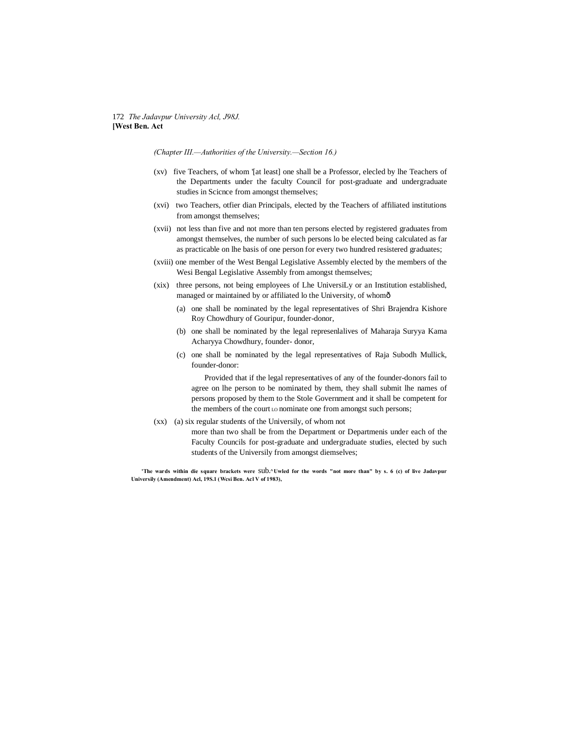# 172 *The Jadavpur University Acl, J98J.* **[West Ben. Act**

*(Chapter III.—Authorities of the University.—Section 16.)*

- (xv) five Teachers, of whom '[at least] one shall be a Professor, elecled by lhe Teachers of the Departments under the faculty Council for post-graduate and undergraduate studies in Scicnce from amongst themselves;
- (xvi) two Teachers, otfier dian Principals, elected by the Teachers of affiliated institutions from amongst themselves;
- (xvii) not less than five and not more than ten persons elected by registered graduates from amongst themselves, the number of such persons lo be elected being calculated as far as practicable on lhe basis of one person for every two hundred resistered graduates;
- (xviii) one member of the West Bengal Legislative Assembly elected by the members of the Wesi Bengal Legislative Assembly from amongst themselves;
- (xix) three persons, not being employees of Lhe UniversiLy or an Institution established, managed or maintained by or affiliated lo the University, of whomô
	- (a) one shall be nominated by the legal representatives of Shri Brajendra Kishore Roy Chowdhury of Gouripur, founder-donor,
	- (b) one shall be nominated by the legal represenlalives of Maharaja Suryya Kama Acharyya Chowdhury, founder- donor,
	- (c) one shall be nominated by the legal representatives of Raja Subodh Mullick, founder-donor:

Provided that if the legal representatives of any of the founder-donors fail to agree on lhe person to be nominated by them, they shall submit lhe names of persons proposed by them to the Stole Government and it shall be competent for the members of the court Lo nominate one from amongst such persons;

- (xx) (a) six regular students of the Universily, of whom not
	- more than two shall be from the Department or Departmenis under each of the Faculty Councils for post-graduate and undergraduate studies, elected by such students of the Universily from amongst diemselves;

**'The wards within die square brackets were** sub**.^Uwled for the words "not more than" by s. 6 (c) of live Jadavpur Universily (Amendment) Acl, 19S.1 (Wcsi Ben. Acl V of 1983),**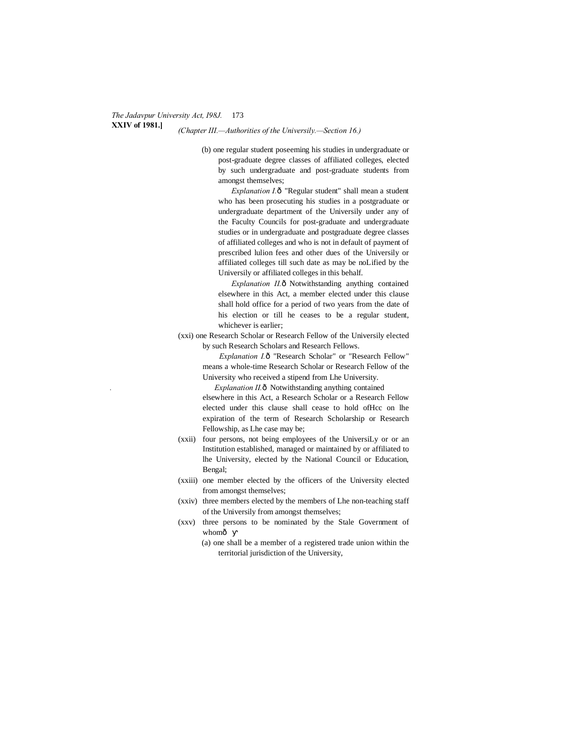# **XXIV of 1981.]** *(Chapter III.—Authorities of the Universily.—Section 16.)*

(b) one regular student poseeming his studies in undergraduate or post-graduate degree classes of affiliated colleges, elected by such undergraduate and post-graduate students from amongst themselves;

*Explanation I.* $\hat{o}$  "Regular student" shall mean a student who has been prosecuting his studies in a postgraduate or undergraduate department of the Universily under any of the Faculty Councils for post-graduate and undergraduate studies or in undergraduate and postgraduate degree classes of affiliated colleges and who is not in default of payment of prescribed lulion fees and other dues of the Universily or affiliated colleges till such date as may be noLified by the Universily or affiliated colleges in this behalf.

*Explanation II.* $\hat{o}$  Notwithstanding anything contained elsewhere in this Act, a member elected under this clause shall hold office for a period of two years from the date of his election or till he ceases to be a regular student, whichever is earlier;

(xxi) one Research Scholar or Research Fellow of the Universily elected by such Research Scholars and Research Fellows.

> *Explanation I.* ô "Research Scholar" or "Research Fellow" means a whole-time Research Scholar or Research Fellow of the University who received a stipend from Lhe University.

*Explanation II.* $\hat{o}$  Notwithstanding anything contained

elsewhere in this Act, a Research Scholar or a Research Fellow elected under this clause shall cease to hold ofHcc on lhe expiration of the term of Research Scholarship or Research Fellowship, as Lhe case may be;

- (xxii) four persons, not being employees of the UniversiLy or or an Institution established, managed or maintained by or affiliated to lhe University, elected by the National Council or Education, Bengal;
- (xxiii) one member elected by the officers of the University elected from amongst themselves;
- (xxiv) three members elected by the members of Lhe non-teaching staff of the Universily from amongst themselves;
- (xxv) three persons to be nominated by the Stale Government of whomô
	- (a) one shall be a member of a registered trade union within the territorial jurisdiction of the University,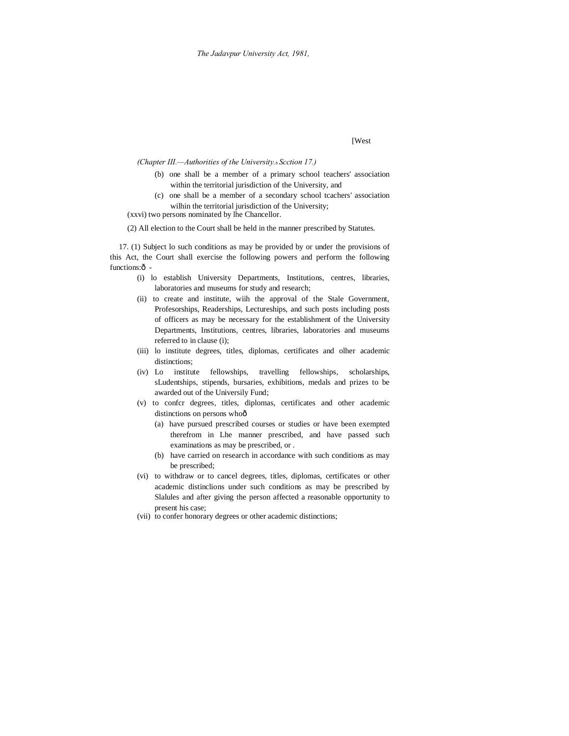# [West

*(Chapter III.—Authorities of the University.*—*Scction 17.)*

- (b) one shall be a member of a primary school teachers' association within the territorial jurisdiction of the University, and
- (c) one shall be a member of a secondary school tcachers' association wilhin the territorial jurisdiction of the University;

(xxvi) two persons nominated by lhe Chancellor.

(2) All election to the Court shall be held in the manner prescribed by Statutes.

17. (1) Subject lo such conditions as may be provided by or under the provisions of this Act, the Court shall exercise the following powers and perform the following functions: $\hat{o}$  -

- (i) lo establish University Departments, Institutions, centres, libraries, laboratories and museums for study and research;
- (ii) to create and institute, wiih the approval of the Stale Government, Profesorships, Readerships, Lectureships, and such posts including posts of officers as may be necessary for the establishment of the University Departments, Institutions, centres, libraries, laboratories and museums referred to in clause (i);
- (iii) lo institute degrees, titles, diplomas, certificates and olher academic distinctions;
- (iv) Lo institute fellowships, travelling fellowships, scholarships, sLudentships, stipends, bursaries, exhibitions, medals and prizes to be awarded out of the Universily Fund;
- (v) to confcr degrees, titles, diplomas, certificates and other academic distinctions on persons whoô
	- (a) have pursued prescribed courses or studies or have been exempted therefrom in Lhe manner prescribed, and have passed such examinations as may be prescribed, or .
	- (b) have carried on research in accordance with such conditions as may be prescribed;
- (vi) to withdraw or to cancel degrees, titles, diplomas, certificates or other academic distinclions under such conditions as may be prescribed by Slalules and after giving the person affected a reasonable opportunity to present his case;
- (vii) to confer honorary degrees or other academic distinctions;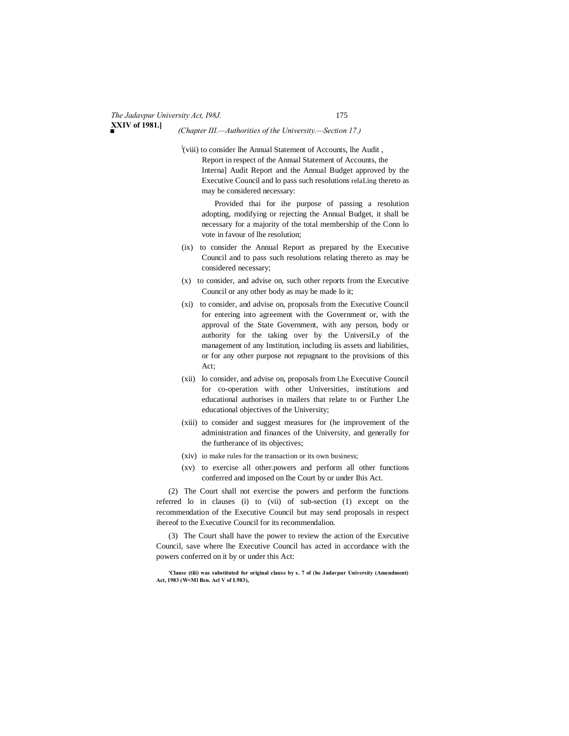# *■ (Chapter III.—Authorities of the University.—Section 17.)*

l (viii) to consider lhe Annual Statement of Accounts, lhe Audit , Report in respect of the Annual Statement of Accounts, the Interna] Audit Report and the Annual Budget approved by the Executive Council and lo pass such resolutions relaLing thereto as may be considered necessary:

Provided thai for ihe purpose of passing a resolution adopting, modifying or rejecting the Annual Budget, it shall be necessary for a majority of the total membership of the Conn lo vote in favour of lhe resolution;

- (ix) to consider the Annual Report as prepared by the Executive Council and to pass such resolutions relating thereto as may be considered necessary;
- (x) to consider, and advise on, such other reports from the Executive Council or any other body as may be made lo it;
- (xi) to consider, and advise on, proposals from the Executive Council for entering into agreement with the Government or, with the approval of the State Government, with any person, body or authority for the taking over by the UniversiLy of the management of any Institution, including iis assets and liabilities, or for any other purpose not repugnant to the provisions of this Act;
- (xii) lo consider, and advise on, proposals from Lhe Executive Council for co-operation with other Universities, institutions and educational authorises in mailers that relate to or Further Lhe educational objectives of the University;
- (xiii) to consider and suggest measures for (he improvement of the administration and finances of the University, and generally for the furtherance of its objectives;
- (xiv) io make rules for the transaction or its own business;
- (xv) to exercise all other.powers and perform all other functions conferred and imposed on Ihe Court by or under Ihis Act.

(2) The Court shall not exercise the powers and perform the functions referred lo in clauses (i) to (vii) of sub-section (1) except on the recommendation of the Executive Council but may send proposals in respect ihereof to the Executive Council for its recommendalion.

(3) The Court shall have the power to review the action of the Executive Council, save where lhe Executive Council has acted in accordance with the powers conferred on it by or under this Act:

**'Clause (tiii) was substituted for original clause by s. 7 of (he Jadavpur University (Amendment) Act, 1983 (W<Ml Ben. Acl V of L983),**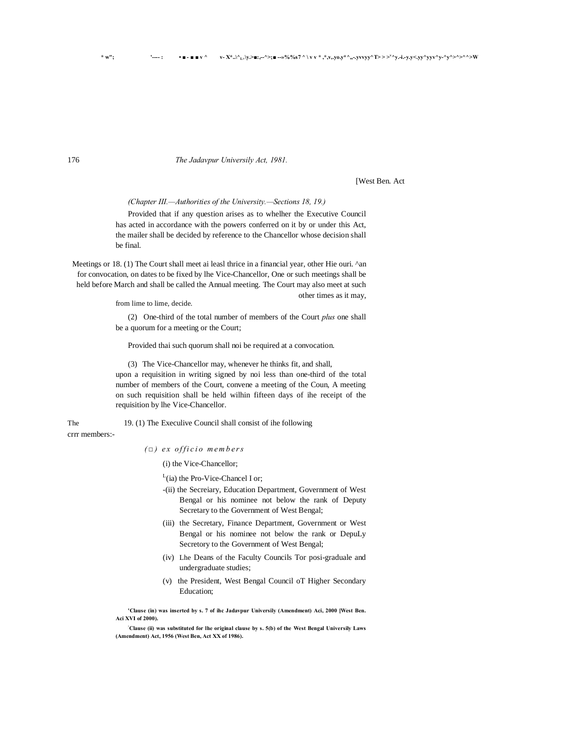# 176 *The Jadavpur Universily Act, 1981.*

[West Ben. Act

other times as it may,

*(Chapter III.—Authorities of the University.—Sections 18, 19.)*

Provided that if any question arises as to whelher the Executive Council has acted in accordance with the powers conferred on it by or under this Act, the mailer shall be decided by reference to the Chancellor whose decision shall be final.

Meetings or 18. (1) The Court shall meet ai leasl thrice in a financial year, other Hie ouri. ^an for convocation, on dates to be fixed by lhe Vice-Chancellor, One or such meetings shall be held before March and shall be called the Annual meeting. The Court may also meet at such

from lime to lime, decide.

(2) One-third of the total number of members of the Court *plus* one shall be a quorum for a meeting or the Court;

Provided thai such quorum shall noi be required at a convocation.

(3) The Vice-Chancellor may, whenever he thinks fit, and shall,

upon a requisition in writing signed by noi less than one-third of the total number of members of the Court, convene a meeting of the Coun, A meeting on such requisition shall be held wilhin fifteen days of ihe receipt of the requisition by lhe Vice-Chancellor.

The 19. (1) The Execulive Council shall consist of ihe following

crrr members:-

*( □ ) e x o f f i c i o m e m b e r s*

(i) the Vice-Chancellor;

 $L$ (ia) the Pro-Vice-Chancel I or;

- -(ii) the Secreiary, Education Department, Government of West Bengal or his nominee not below the rank of Deputy Secretary to the Government of West Bengal;
- (iii) the Secretary, Finance Department, Government or West Bengal or his nominee not below the rank or DepuLy Secretory to the Government of West Bengal;
- (iv) Lhe Deans of the Faculty Councils Tor posi-graduale and undergraduate studies;
- (v) the President, West Bengal Council oT Higher Secondary Education;

**'Clause (in) was inserted by s. 7 of ihc Jadavpur Universily (Amendment) Aci, 2000 [West Ben. Aci XVI of 2000).**

**: Clause (ii) was substituted for lhe original clause by s. 5(b) of the West Bengal Universily Laws (Amendment) Act, 1956 (West Ben, Act XX of 1986).**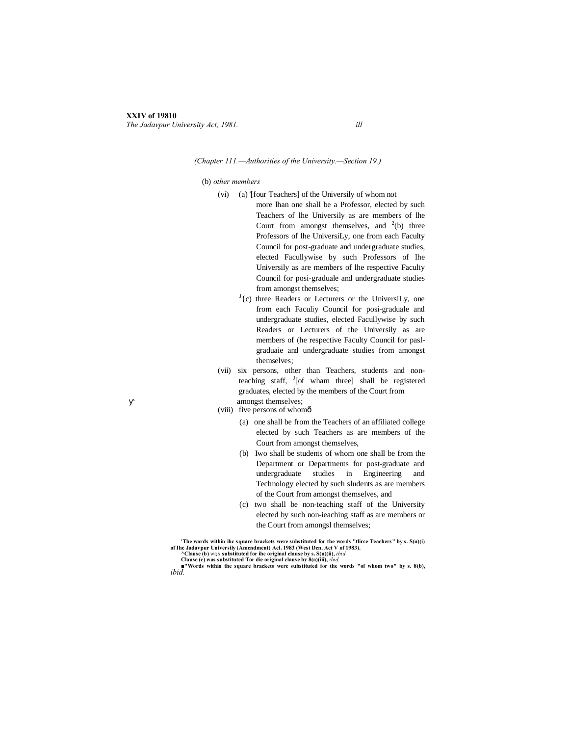# **XXIV of 19810**

*The Jadavpur University Act, 1981. ill*

#### *(Chapter 111.—Authorities of the University.—Section 19.)*

#### (b) *other members*

- (vi) (a) '[four Teachers] of the Universily of whom not
	- more lhan one shall be a Professor, elected by such Teachers of lhe Universily as are members of lhe Court from amongst themselves, and  $2(b)$  three Professors of lhe UniversiLy, one from each Faculty Council for post-graduate and undergraduate studies, elected Facullywise by such Professors of Ihe Universily as are members of lhe respective Faculty Council for posi-graduale and undergraduate studies from amongst themselves;
	- $J(c)$  three Readers or Lecturers or the UniversiLy, one from each Faculiy Council for posi-graduale and undergraduate studies, elected Facullywise by such Readers or Lecturers of the Universily as are members of (he respective Faculty Council for paslgraduaie and undergraduate studies from amongst themselves;
- (vii) six persons, other than Teachers, students and nonteaching staff, <sup>J</sup>[of wham three] shall be registered graduates, elected by the members of the Court from amongst themselves;
- (viii) five persons of whomô
	- (a) one shall be from the Teachers of an affiliated college elected by such Teachers as are members of the Court from amongst themselves,
	- (b) Iwo shall be students of whom one shall be from the Department or Departments for post-graduate and undergraduate studies in Engineering and Technology elected by such sludents as are members of the Court from amongst themselves, and
	- (c) two shall be non-teaching staff of the University elected by such non-ieaching staff as are members or the Court from amongsl themselves;

The words within ihe square brackets were substituted for the words "tliree Teachers" by s. S(u)(i) of Ihe Jadavpur Universily (Amendment) Acl. 1983 (West Den. Act V of 1983).<br>
^ Clause (b) was substituted for the origina

**■"Words within the square brackets were substituted for the words "of whom two" by s. 8(b),** *ibid.*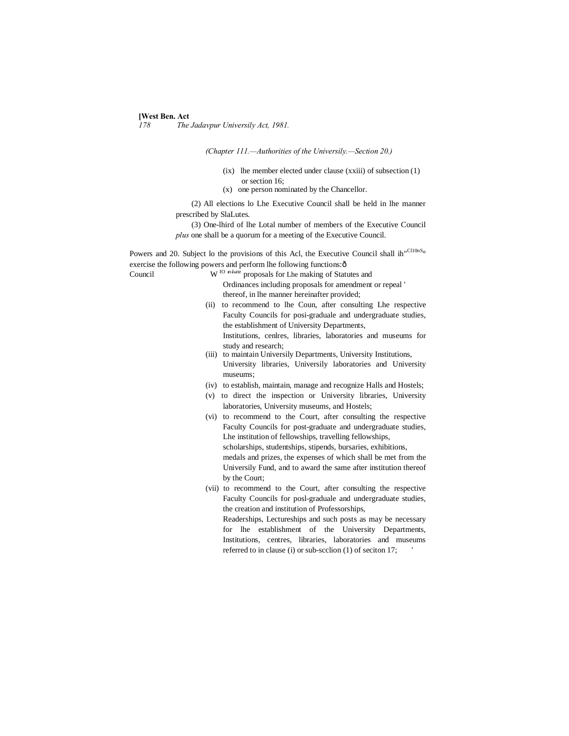# **[West Ben. Act**]<br>178 The

*178 The Jadavpur Universily Act, 1981.*

*(Chapter 111.—Authorities of the Universily.—Section 20.)*

- (ix) lhe member elected under clause (xxiii) of subsection (1) or section 16;
- (x) one person nominated by the Chancellor.

(2) All elections lo Lhe Executive Council shall be held in lhe manner prescribed by SlaLutes.

(3) One-lhird of lhe Lotal number of members of the Executive Council *plus* one shall be a quorum for a meeting of the Executive Council.

Powers and 20. Subject lo the provisions of this Acl, the Executive Council shall ih"Cl10nSo exercise the following powers and perform lhe following functions: $\hat{o}$ 

Council

ndate proposals for Lhe making of Statutes and Ordinances including proposals for amendment or repeal ' thereof, in lhe manner hereinafter provided;

- (ii) to recommend to lhe Coun, after consulting Lhe respective Faculty Councils for posi-graduale and undergraduate studies, the establishment of University Departments, Institutions, cenlres, libraries, laboratories and museums for study and research;
- (iii) to maintain Universily Departments, University Institutions, University libraries, Universily laboratories and University museums;
- (iv) to establish, maintain, manage and recognize Halls and Hostels;
- (v) to direct the inspection or University libraries, University laboratories, University museums, and Hostels;
- (vi) to recommend to the Court, after consulting the respective Faculty Councils for post-graduate and undergraduate studies, Lhe institution of fellowships, travelling fellowships, scholarships, studentships, stipends, bursaries, exhibitions, medals and prizes, the expenses of which shall be met from the Universily Fund, and to award the same after institution thereof by the Court;
- (vii) to recommend to the Court, after consulting the respective Faculty Councils for posl-graduale and undergraduate studies, the creation and institution of Professorships,

Readerships, Lectureships and such posts as may be necessary for lhe establishment of the University Departments, Institutions, centres, libraries, laboratories and museums referred to in clause (i) or sub-scclion (1) of seciton 17;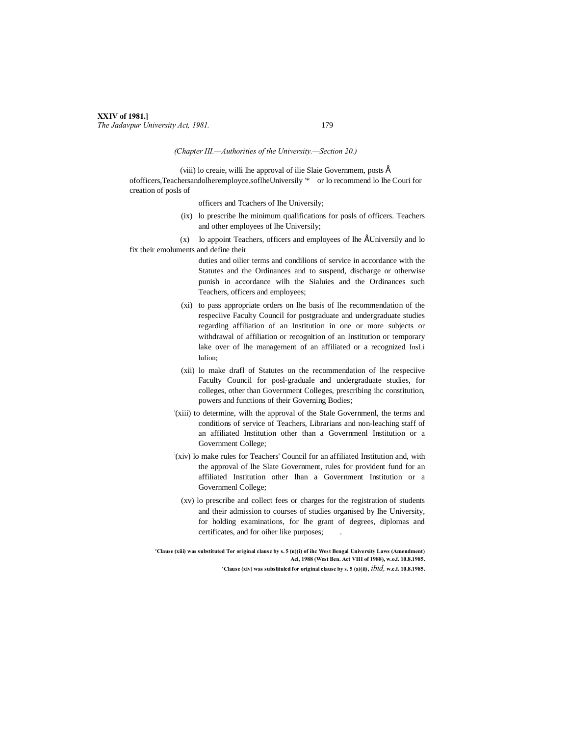# **XXIV of 1981.]** *The Jadavpur University Act, 1981.* 179

#### *(Chapter III.—Authorities of the University.—Section 20.)*

(viii) lo creaie, willi lhe approval of ilie Slaie Governmem, posts  $\acute{E}$ ofofficers,Teachersandolheremployce.soflheUniversily '\* or lo recommend lo lhe Couri for creation of posls of

officers and Tcachers of Ihe Universily;

(ix) lo prescribe lhe minimum qualifications for posls of officers. Teachers and other employees of lhe Universily;

 $(x)$  lo appoint Teachers, officers and employees of lhe ÉUniversily and lo fix their emoluments and define their

> duties and oilier terms and condilions of service in accordance with the Statutes and the Ordinances and to suspend, discharge or otherwise punish in accordance wilh the Sialuies and the Ordinances such Teachers, officers and employees;

- (xi) to pass appropriate orders on lhe basis of lhe recommendation of the respeciive Faculty Council for postgraduate and undergraduate studies regarding affiliation of an Institution in one or more subjects or withdrawal of affiliation or recognition of an Institution or temporary lake over of lhe management of an affiliated or a recognized InsLi lulion;
- (xii) lo make drafl of Statutes on the recommendation of lhe respeciive Faculty Council for posl-graduale and undergraduate studies, for colleges, other than Government Colleges, prescribing ihc constitution, powers and functions of their Governing Bodies;
- '(xiii) to determine, wilh the approval of the Stale Governmenl, the terms and conditions of service of Teachers, Librarians and non-leaching staff of an affiliated Institution other than a Governmenl Institution or a Government College;
- : (xiv) lo make rules for Teachers' Council for an affiliated Institution and, with the approval of lhe Slate Government, rules for provident fund for an affiliated Institution other lhan a Government Institution or a Governmenl College;
- (xv) lo prescribe and collect fees or charges for the registration of students and their admission to courses of studies organised by lhe University, for holding examinations, for lhe grant of degrees, diplomas and certificates, and for oiher like purposes;

**'Clause (xiii) was substituted Tor original clausc by s. 5 (n)(i) of ihc West Bengal University Laws (Amendment) Acl, 1988 (West Ben. Act VIII of 1988), w.o.f. 10.8.1985. 'Clause (xiv) was subslitulcd for original clause by s. 5 (a)(ii),** *ibid,* **w.e.f. 10.8.1985.**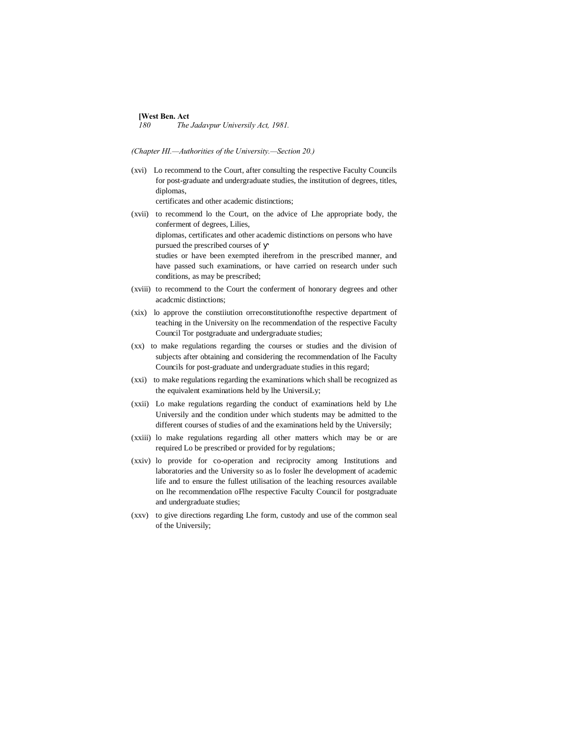# **[West Ben. Act**]<br>180 The

*180 The Jadavpur Universily Act, 1981.*

#### *(Chapter HI.—Authorities of the University.—Section 20.)*

- (xvi) Lo recommend to the Court, after consulting the respective Faculty Councils for post-graduate and undergraduate studies, the institution of degrees, titles, diplomas, certificates and other academic distinctions;
- (xvii) to recommend lo the Court, on the advice of Lhe appropriate body, the conferment of degrees, Lilies, diplomas, certificates and other academic distinctions on persons who have pursued the prescribed courses of studies or have been exempted iherefrom in the prescribed manner, and have passed such examinations, or have carried on research under such conditions, as may be prescribed; (xviii) to recommend to the Court the conferment of honorary degrees and other
- acadcmic distinctions;
- (xix) lo approve the constiiution orreconstitutionofthe respective department of teaching in the University on lhe recommendation of the respective Faculty Council Tor postgraduate and undergraduate studies;
- (xx) to make regulations regarding the courses or studies and the division of subjects after obtaining and considering the recommendation of lhe Faculty Councils for post-graduate and undergraduate studies in this regard;
- (xxi) to make regulations regarding the examinations which shall be recognized as the equivalent examinations held by lhe UniversiLy;
- (xxii) Lo make regulations regarding the conduct of examinations held by Lhe Universily and the condition under which students may be admitted to the different courses of studies of and the examinations held by the Universily;
- (xxiii) lo make regulations regarding all other matters which may be or are required Lo be prescribed or provided for by regulations;
- (xxiv) lo provide for co-operation and reciprocity among Institutions and laboratories and the University so as lo fosler lhe development of academic life and to ensure the fullest utilisation of the leaching resources available on lhe recommendation oFlhe respective Faculty Council for postgraduate and undergraduate studies;
- (xxv) to give directions regarding Lhe form, custody and use of the common seal of the Universily;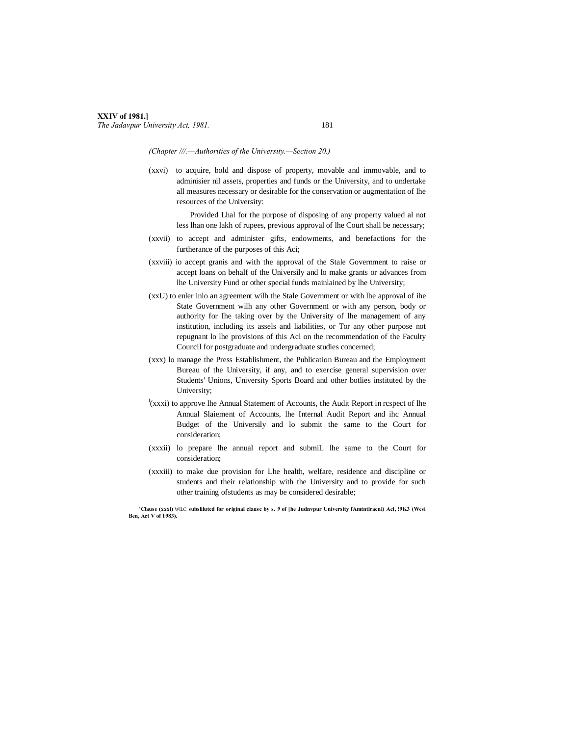# **XXIV of 1981.]** *The Jadavpur University Act, 1981.* 181

*(Chapter ///.—Authorities of the University.—Section 20.)*

(xxvi) to acquire, bold and dispose of property, movable and immovable, and to adminisier nil assets, properties and funds or the University, and to undertake all measures necessary or desirable for the conservation or augmentation of lhe resources of the University:

Provided Lhal for the purpose of disposing of any property valued al not less lhan one lakh of rupees, previous approval of lhe Court shall be necessary;

- (xxvii) to accept and administer gifts, endowments, and benefactions for the furtherance of the purposes of this Aci;
- (xxviii) io accept granis and with the approval of the Stale Government to raise or accept loans on behalf of the Universily and lo make grants or advances from lhe University Fund or other special funds mainlained by lhe University;
- (xxU) to enler inlo an agreement wilh the Stale Government or with lhe approval of ihe State Government wilh any other Government or with any person, body or authority for Ihe taking over by the University of lhe management of any institution, including its assels and liabilities, or Tor any other purpose not repugnant lo lhe provisions of this Acl on the recommendation of the Faculty Council for postgraduate and undergraduate studies concerned;
- (xxx) lo manage the Press Establishment, the Publication Bureau and the Employment Bureau of the University, if any, and to exercise general supervision over Students' Unions, University Sports Board and other botlies instituted by the University;
- $\frac{1}{2}$ (xxxi) to approve lhe Annual Statement of Accounts, the Audit Report in respect of lhe Annual Slaiement of Accounts, lhe Internal Audit Report and ihc Annual Budget of the Universily and lo submit the same to the Court for consideration;
- (xxxii) lo prepare lhe annual report and submiL lhe same to the Court for consideration;
- (xxxiii) to make due provision for Lhe health, welfare, residence and discipline or students and their relationship with the University and to provide for such other training ofstudents as may be considered desirable;

**'Clause (xxxi)** WILC **subslilutcd for original clausc by s.** *9* **of [he Judnvpur University fAmtntlracnl) Acl, !9K3 (Wcsi Ben, Act V of 1983).**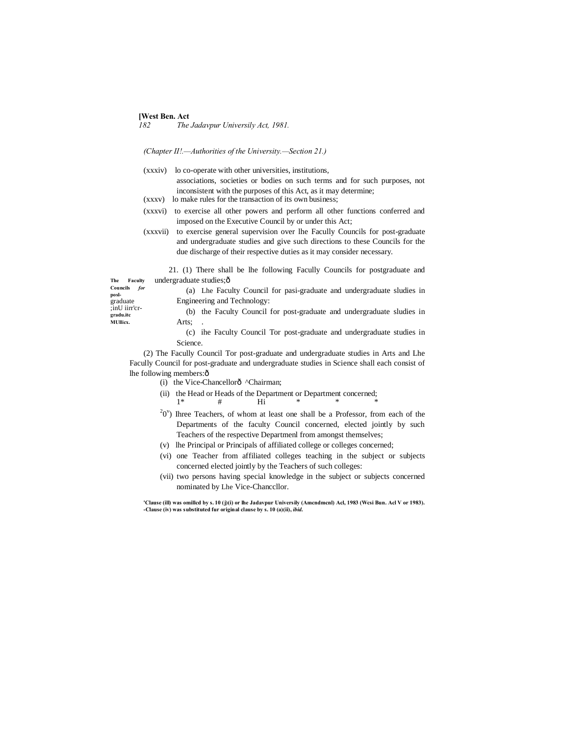# **[West Ben. Act**]<br>182 The

*182 The Jadavpur Universily Act, 1981.*

*(Chapter II!.—Authorities of the University.—Section 21.)*

- (xxxiv) lo co-operate with other universities, institutions, associations, societies or bodies on such terms and for such purposes, not inconsistent with the purposes of this Act, as it may determine;
- (xxxv) lo make rules for the transaction of its own business;
- (xxxvi) to exercise all other powers and perform all other functions conferred and imposed on the Executive Council by or under this Act;
- (xxxvii) to exercise general supervision over lhe Facully Councils for post-graduate and undergraduate studies and give such directions to these Councils for the due discharge of their respective duties as it may consider necessary.

21. (1) There shall be lhe following Facully Councils for postgraduate and undergraduate studies;—

**Councils** *for*  **posl**graduate ;inU iirr'cr **gradu.itc MUllicx.**

**The Faculty** 

(a) Lhe Faculty Council for pasi-graduate and undergraduate sludies in Engineering and Technology:

(b) the Faculty Council for post-graduate and undergraduate sludies in Arts;

(c) ihe Faculty Council Tor post-graduate and undergraduate studies in Science.

(2) The Facully Council Tor post-graduate and undergraduate studies in Arts and Lhe Facully Council for post-graduate and undergraduate studies in Science shall each consist of lhe following members: $\hat{o}$ 

- (i) the Vice-Chancellorô ^Chairman;
- (ii) the Head or Heads of the Department or Department concerned; 1\* # Hi \* \* \*
- $20^{\circ}$ ) Ihree Teachers, of whom at least one shall be a Professor, from each of the Departments of the faculty Council concerned, elected jointly by such Teachers of the respective Departmenl from amongst themselves;
- (v) lhe Principal or Principals of affiliated college or colleges concerned;
- (vi) one Teacher from affiliated colleges teaching in the subject or subjects concerned elected jointly by the Teachers of such colleges:
- (vii) two persons having special knowledge in the subject or subjects concerned nominated by Lhe Vice-Chanccllor.

**'Clause (ill) was omillcd by s. 10 (j)(i) or lhe Jadavpur Universily (Amcndmcnl) Acl, 1983 (Wcsi Bun. Acl V or 1983). -Clause (iv) was substituted fur original clause by s. 10 (a)(ii),** *ibid.*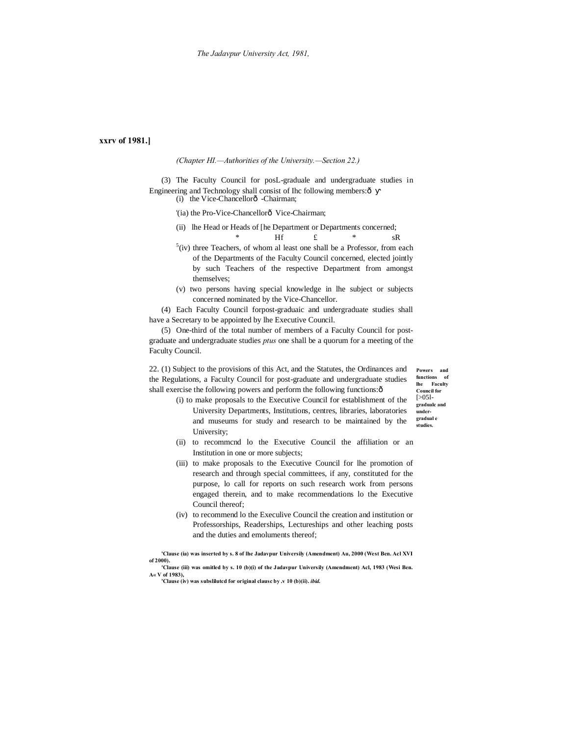# **xxrv of 1981.]**

*(Chapter HI.—Authorities of the University.—Section 22.)*

(3) The Faculty Council for posL-graduale and undergraduate studies in Engineering and Technology shall consist of Ihc following members: $\hat{o}$  $(i)$  the Vice-Chancellorô -Chairman;

'(ia) the Pro-Vice-Chancellorô Vice-Chairman;

(ii) lhe Head or Heads of [he Department or Departments concerned;

- \* Hf £ \* sR  $5$ (iv) three Teachers, of whom al least one shall be a Professor, from each of the Departments of the Faculty Council concerned, elected jointly by such Teachers of the respective Department from amongst themselves;
- (v) two persons having special knowledge in lhe subject or subjects concerned nominated by the Vice-Chancellor.

(4) Each Faculty Council forpost-graduaic and undergraduate studies shall have a Secretary to be appointed by lhe Executive Council.

(5) One-third of the total number of members of a Faculty Council for postgraduate and undergraduate studies *ptus* one shall be a quorum for a meeting of the Faculty Council.

22. (1) Subject to the provisions of this Act, and the Statutes, the Ordinances and the Regulations, a Faculty Council for post-graduate and undergraduate studies shall exercise the following powers and perform the following functions: $\delta$ 

**Powers and functions of lhe Faculty Council for**  $5051$ **gradualc and undergradual e** 

- **studies.** (i) to make proposals to the Executive Council for establishment of the University Departments, Institutions, centres, libraries, laboratories and museums for study and research to be maintained by the University;
- (ii) to recommcnd lo the Executive Council the affiliation or an Institution in one or more subjects;
- (iii) to make proposals to the Executive Council for lhe promotion of research and through special committees, if any, constituted for the purpose, lo call for reports on such research work from persons engaged therein, and to make recommendations lo the Executive Council thereof;
- (iv) to recommend lo the Execulive Council the creation and institution or Professorships, Readerships, Lectureships and other leaching posts and the duties and emoluments thereof;

**'Clause (ia) was inserted by s. 8 of lhe Jadavpur Universily (Amendment) Au, 2000 (West Ben. Acl XVI of 2000).**

**'Clause (iii) was omitled by s. 10 (b)(i) of the Jadavpur Universily (Amendment) Acl, 1983 (Wesi Ben. A« V of 1983),**

**'Clause (iv) was subslilutcd for original clausc by .v 10 (b)(ii).** *ibid.*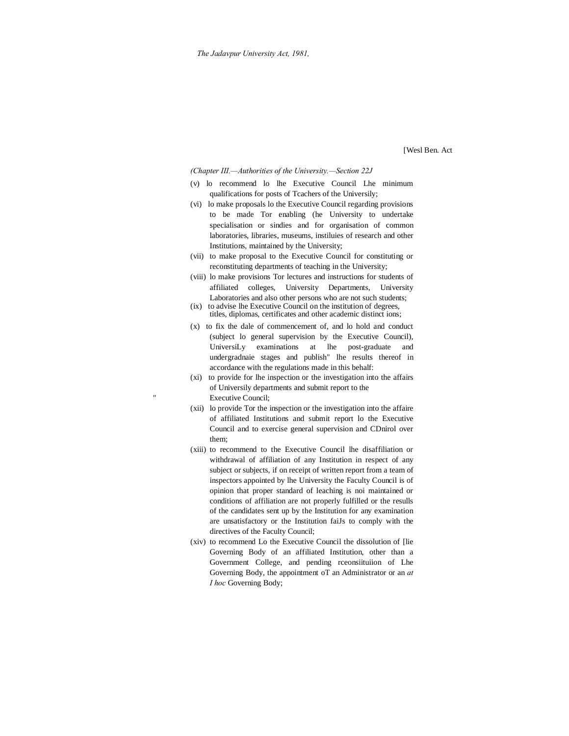[Wesl Ben. Act

*(Chapter III.—Authorities of the University.—Section 22J*

- (v) lo recommend lo lhe Executive Council Lhe minimum qualifications for posts of Tcachers of the Universily;
- (vi) lo make proposals lo the Executive Council regarding provisions to be made Tor enabling (he University to undertake specialisation or sindies and for organisation of common laboratories, libraries, museums, instiluies of research and other Institutions, maintained by the University;
- (vii) to make proposal to the Executive Council for constituting or reconstituting departments of teaching in the University;
- (viii) lo make provisions Tor lectures and instructions for students of affiliated colleges, University Departments, University Laboratories and also other persons who are not such students;
- (ix) to advise lhe Executive Council on the institution of degrees, titles, diplomas, certificates and other academic distinct ions;
- (x) to fix the dale of commencement of, and lo hold and conduct (subject lo general supervision by the Executive Council), UniversiLy examinations at lhe post-graduate and undergradnaie stages and publish" lhe results thereof in accordance with the regulations made in this behalf:
- (xi) to provide for lhe inspection or the investigation into the affairs of Universily departments and submit report to the Executive Council;
- (xii) lo provide Tor the inspection or the investigation into the affaire of affiliated Institutions and submit report lo the Executive Council and to exercise general supervision and CDnirol over them;
- (xiii) to recommend to the Executive Council lhe disaffiliation or withdrawal of affiliation of any Institution in respect of any subject or subjects, if on receipt of written report from a team of inspectors appointed by lhe University the Faculty Council is of opinion that proper standard of leaching is noi maintained or conditions of affiliation are not properly fulfilled or the resulls of the candidates sent up by the Institution for any examination are unsatisfactory or the Institution faiJs to comply with the directives of the Faculty Council;
- (xiv) to recommend Lo the Executive Council the dissolution of [lie Governing Body of an affiliated Institution, other than a Government College, and pending rceonsiituiion of Lhe Governing Body, the appointment oT an Administrator or an *at I hoc* Governing Body;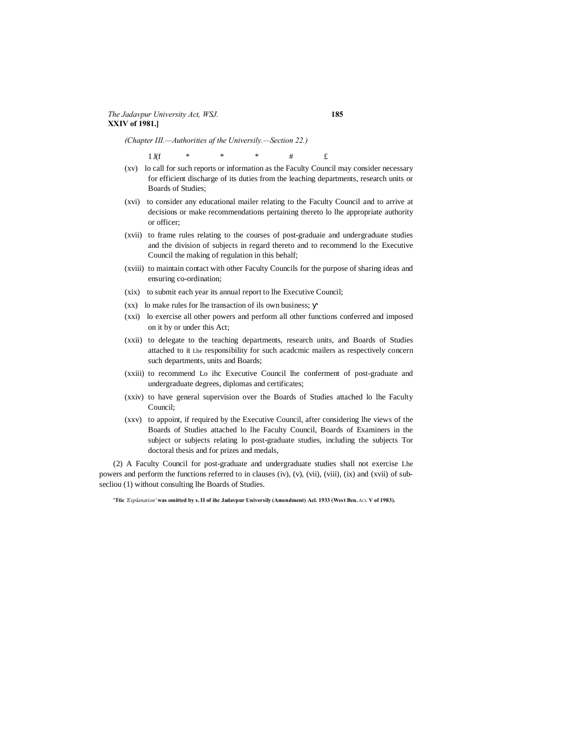*(Chapter III.—Authorities af the Universily.—Section 22.)*

1 J(f \* \* \* \* # £

- (xv) lo call for such reports or information as the Faculty Council may consider necessary for efficient discharge of its duties from the leaching departments, research units or Boards of Studies;
- (xvi) to consider any educational mailer relating to the Faculty Council and to arrive at decisions or make recommendations pertaining thereto lo lhe appropriate authority or officer;
- (xvii) to frame rules relating to the courses of post-graduaie and undergraduate studies and the division of subjects in regard thereto and to recommend lo the Executive Council the making of regulation in this behalf;
- (xviii) to maintain contact with other Faculty Councils for the purpose of sharing ideas and ensuring co-ordination;
- (xix) to submit each year its annual report to lhe Executive Council;
- (xx) lo make rules for lhe transaction of ils own business;
- (xxi) lo exercise all other powers and perform all other functions conferred and imposed on it by or under this Act;
- (xxii) to delegate to the teaching departments, research units, and Boards of Studies attached to it Lhe responsibility for such acadcmic mailers as respectively concern such departments, units and Boards;
- (xxiii) to recommend Lo ihc Executive Council lhe conferment of post-graduate and undergraduate degrees, diplomas and certificates;
- (xxiv) to have general supervision over the Boards of Studies attached lo lhe Faculty Council;
- (xxv) to appoint, if required by the Executive Council, after considering lhe views of the Boards of Studies attached lo lhe Faculty Council, Boards of Examiners in the subject or subjects relating lo post-graduate studies, including the subjects Tor doctoral thesis and for prizes and medals,

(2) A Faculty Council for post-graduate and undergraduate studies shall not exercise Lhe powers and perform the functions referred to in clauses (iv), (v), (vii), (viii), (ix) and (xvii) of subsecliou (1) without consulting lhe Boards of Studies.

**<sup>&#</sup>x27;Ttic** *'Explanation'* **was omitted by s. II of ihc Jadavpur Universily (Amendment) Acl. 1933 (West Ben.** ACL **V of 1983).**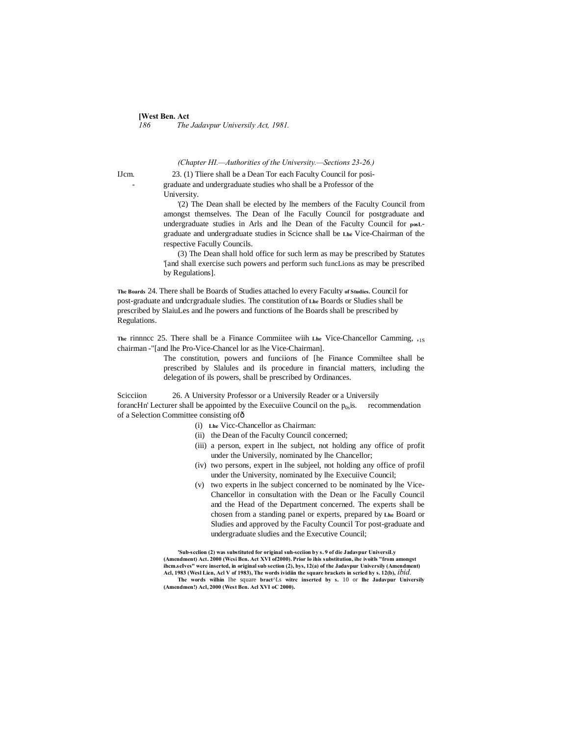# **[West Ben. Act**]<br>186 The *186 The Jadavpur Universily Act, 1981.*

*(Chapter HI.—Authorities of the University.—Sections 23-26.)*

IJcm. 23. (1) Tliere shall be a Dean Tor each Faculty Council for posi- - graduate and undergraduate studies who shall be a Professor of the University.

'(2) The Dean shall be elected by lhe members of the Faculty Council from amongst themselves. The Dean of lhe Facully Council for postgraduate and undergraduate studies in Arls and lhe Dean of the Faculty Council for **posL**graduate and undergraduate studies in Scicnce shall be **Lhe** Vice-Chairman of the respective Facully Councils.

(3) The Dean shall hold office for such lerm as may be prescribed by Statutes '[and shall exercise such powers and perform such funcLions as may be prescribed by Regulations].

**The Boards** 24. There shall be Boards of Studies attached lo every Faculty **of Studies.** Council for post-graduate and undcrgraduale sludies. The constitution of **Lhe** Boards or Sludies shall be prescribed by SlaiuLes and lhe powers and functions of lhe Boards shall be prescribed by Regulations.

**The** rinnncc 25. There shall be a Finance Commiitee wiih **Lhe** Vice-Chancellor Camming, ,1S chairman -"[and lhe Pro-Vice-Chancel lor as lhe Vice-Chairman].

> The constitution, powers and funciions of [he Finance Commiltee shall be prescribed by Slalules and ils procedure in financial matters, including the delegation of ils powers, shall be prescribed by Ordinances.

Scicciion 26. A University Professor or a Universily Reader or a Universily forancHn' Lecturer shall be appointed by the Executive Council on the  $p_{0s}$  is. recommendation of a Selection Committee consisting of—

- (i) **Lhe** Vicc-Chancellor as Chairman:
- (ii) the Dean of the Faculty Council concerned;
- (iii) a person, expert in lhe subject, not holding any office of profit under the Universily, nominated by lhe Chancellor;
- (iv) two persons, expert in Ihe subjeel, not holding any office of profil under the University, nominated by lhe Execuiive Council;
- (v) two experts in lhe subject concerned to be nominated by lhe Vice-Chancellor in consultation with the Dean or lhe Facully Council and the Head of the Department concerned. The experts shall be chosen from a standing panel or experts, prepared by **Lhe** Board or Sludies and approved by the Faculty Council Tor post-graduate and undergraduate sludies and the Executive Council;

**'Sub-scclion (2) was substituted for original suh-scciion by s. 9 of die Jadavpur UniversiLy (Amendment) Act. 2000 (Wcsi Ben. Act XVI of2000). Prior lo ihis substitution, ihe ivoitls "from amongst ihcm.seIves" were inserted, in original sub section (2), bys, 12(a) of the Jadavpur Universily (Amendment) Acl, 1983 (Wesl Lien, Acl V of 1983), The words ividiin the square brackets in scried hy s. 12(b),** *ibid.* **The words wilhin** lhe square **bract**^Ls **witrc inserted by s.** 10 or **lhe Jadavpur Universily (Amendmen!) Acl, 2000 (West Ben. Acl XVI oC 2000).**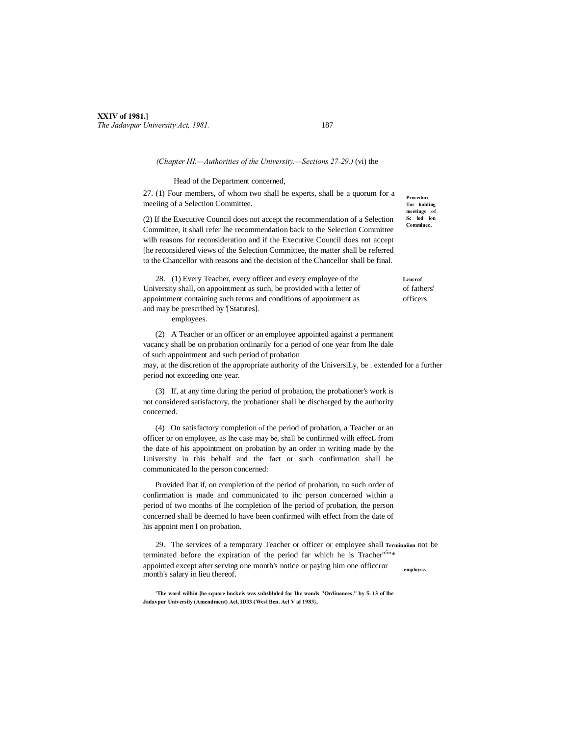# **XXIV of 1981.]** *The Jadavpur University Act, 1981.* 187

#### *(Chapter HI.—Authorities of the University.—Sections 27-29.)* (vi) the

#### Head of the Department concerned,

27. (1) Four members, of whom two shall be experts, shall be a quorum for a meeiing of a Selection Committee.

(2) If the Executive Council does not accept the recommendation of a Selection Committee, it shall refer lhe recommendation back to the Selection Committee wilh reasons for reconsideration and if the Executive Council does not accept [he reconsidered views of the Selection Committee, the matter shall be referred to the Chancellor with reasons and the decision of the Chancellor shall be final.

28. (1) Every Teacher, every officer and every employee of the **Leur**or University shall, on appointment as such, be provided with a letter of of fathers' appointment containing such terms and conditions of appointment as officers and may be prescribed by '[Statutes].

employees.

(2) A Teacher or an officer or an employee appointed against a permanent vacancy shall be on probation ordinarily for a period of one year from lhe dale of such appointment and such period of probation may, at the discretion of the appropriate authority of the UniversiLy, be . extended for a further

period not exceeding one year.

(3) If, at any time during the period of probation, the probationer's work is not considered satisfactory, the probationer shall be discharged by the authority concerned.

(4) On satisfactory completion of the period of probation, a Teacher or an officer or on employee, as lhe case may be, shall be confirmed wilh effecL from the date of his appointment on probation by an order in writing made by the University in this behalf and the fact or such confirmation shall be communicated lo the person concerned:

Provided lhat if, on completion of the period of probation, no such order of confirmation is made and communicated to ihc person concerned within a period of two months of lhe completion of lhe period of probation, the person concerned shall be deemed lo have been confirmed wilh effect from the date of his appoint men I on probation.

**employee.** 29. The services of a temporary Teacher or officer or employee shall **Terminaiion** not be terminated before the expiration of the period far which he is Tracher<sup>"5</sup>"\* appointed except after serving one month's notice or paying him one officcror month's salary in lieu thereof.

**'The word wilhin [he square bnckcis was subslilulcd for Ihc wands "Ordinances." by 5. 13 of lhe Jadavpur Universily (Amendment) Acl, ID33 (Wesl Ben. Acl V af 1983},**

**Procedure Tor holding meetings of Sc led ion Commiucc,**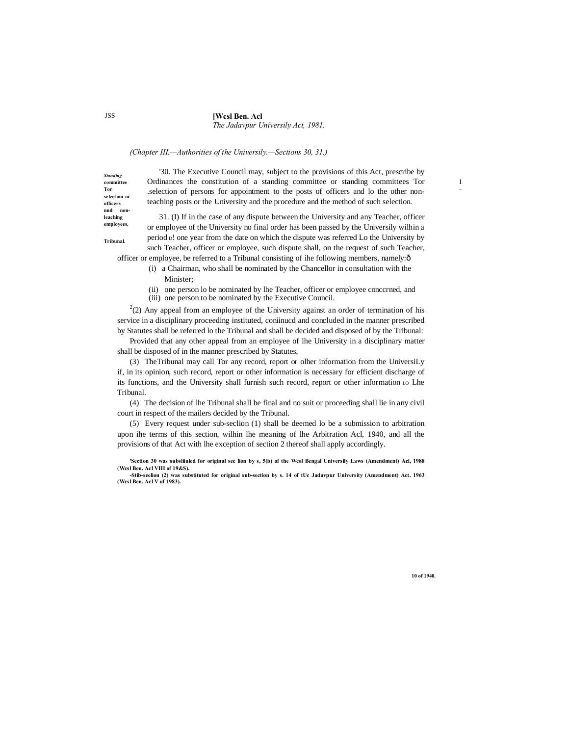#### **[Wcsl Ben. Acl**

*The Jadavpur Universily Act, 1981.*

# *(Chapter III.—Authorities of the Universily.—Sections 30, 31.)*

'30. The Executive Council may, subject to the provisions of this Act, prescribe by Ordinances the constitution of a standing committee or standing committees Tor .selection of persons for appointment to the posts of officers and lo the other nonteaching posts or the University and the procedure and the method of such selection.

31. (I) If in the case of any dispute between the University and any Teacher, officer or employee of the University no final order has been passed by the Universily wilhin a period D! one year from the date on which the dispute was referred Lo the University by such Teacher, officer or employee, such dispute shall, on the request of such Teacher,

officer or employee, be referred to a Tribunal consisting of ihe following members, namely:—

- (i) a Chairman, who shall be nominated by the Chancellor in consultation with the Minister;
- (ii) one person lo be nominated by lhe Teacher, officer or employee conccrned, and
- (iii) one person to be nominated by the Executive Council.

 $^{2}(2)$  Any appeal from an employee of the University against an order of termination of his service in a disciplinary proceeding instituted, coniinucd and concluded in the manner prescribed by Statutes shall be referred lo the Tribunal and shall be decided and disposed of by the Tribunal:

Provided that any other appeal from an employee of lhe University in a disciplinary matter shall be disposed of in the manner prescribed by Statutes,

(3) TheTribunal may call Tor any record, report or olher information from the UniversiLy if, in its opinion, such record, report or other information is necessary for efficient discharge of its functions, and the University shall furnish such record, report or other information Lo Lhe Tribunal.

(4) The decision of lhe Tribunal shall be final and no suit or proceeding shall lie in any civil court in respect of the mailers decided by the Tribunal.

(5) Every request under sub-seclion (1) shall be deemed lo be a submission to arbitration upon ihe terms of this section, wilhin lhe meaning of lhe Arbitration Acl, 1940, and all the provisions of that Act with lhe exception of section 2 thereof shall apply accordingly.

**'Section 30 was subsliiuled for original see lion by s, 5(b) of the Wcsl Bengal Universily Laws (Amendment) Acl, 1988 (Wcsl Ben, Acl VIII of 19&S).**

JSS

*Standing*  **committee Tor selection or officers nnd nonleaching employees. Tribunal.**

**10 of 1940.**

I -

**<sup>-</sup>Stib-seelion (2) was substituted for original sub-section by s. 14 of tUc Jadavpur University (Amendment) Act. 1963 (Wcsl Ben. Acl V of 1983).**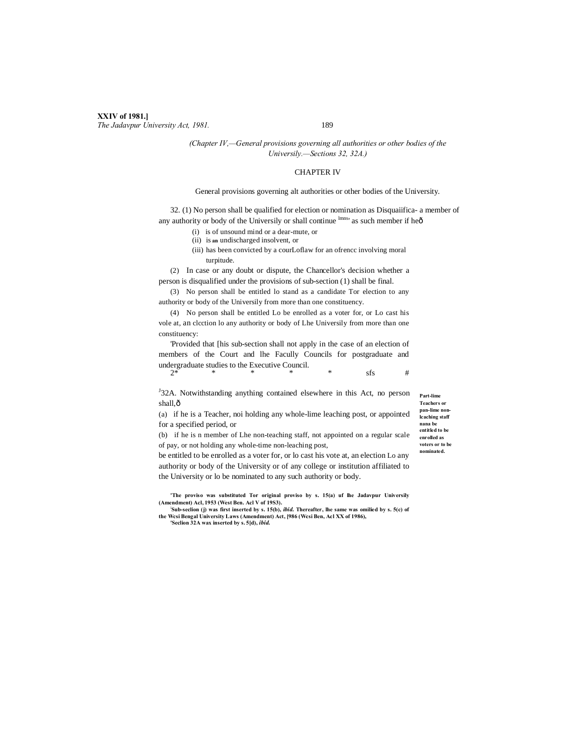## **XXIV of 1981.]** *The Jadavpur University Act, 1981.* 189

## *(Chapter IV,—General provisions governing all authorities or other bodies of the Universily.—Sections 32, 32A.)*

# CHAPTER IV

#### General provisions governing alt authorities or other bodies of the University.

32. (1) No person shall be qualified for election or nomination as Disquaiifica- a member of any authority or body of the Universily or shall continue lmns' as such member if heô

- (i) is of unsound mind or a dear-mute, or
- (ii) is **an** undischarged insolvent, or
- (iii) has been convicted by a courLoflaw for an ofrencc involving moral turpitude.

(2) In case or any doubt or dispute, the Chancellor's decision whether a person is disqualified under the provisions of sub-section (1) shall be final.

(3) No person shall be entitled lo stand as a candidate Tor election to any authority or body of the Universily from more than one constituency.

(4) No person shall be entitled Lo be enrolled as a voter for, or Lo cast his vole at, an clcction lo any authority or body of Lhe Universily from more than one constituency:

'Provided that [his sub-section shall not apply in the case of an election of members of the Court and lhe Facully Councils for postgraduate and undergraduate studies to the Executive Council.<br> $2^*$ 2\* \* \* \* \* sfs #

<sup>J</sup>32A. Notwithstanding anything contained elsewhere in this Act, no person shall, $\hat{o}$ 

(a) if he is a Teacher, noi holding any whole-lime leaching post, or appointed for a specified period, or

(b) if he is n member of Lhe non-teaching staff, not appointed on a regular scale of pay, or not holding any whole-time non-leaching post,

be entitled to be enrolled as a voter for, or lo cast his vote at, an election Lo any authority or body of the University or of any college or institution affiliated to the University or lo be nominated to any such authority or body.

**'The proviso was substituted Tor original proviso by s. 15(a) uf lhe Jadavpur Universily (Amendment) Acl, 1953 (West Ben. Acl V of 19S3).**

**; Sub-seclion (j) was first inserted by s. 15(b),** *ibid.* **Thereafter, lhe same was omilied by s. 5(c) of the Wcsi Bengal University Laws (Amendment) Act, [986 (Wcsi Ben, Acl XX of 1986), 'Seclion 32A wax inserted by s. 5[d),** *ibid.*

**Part-lime Teachers or pan-lime nonlcaching staff nana be entitled to be enrolled as voters or to be nominated.**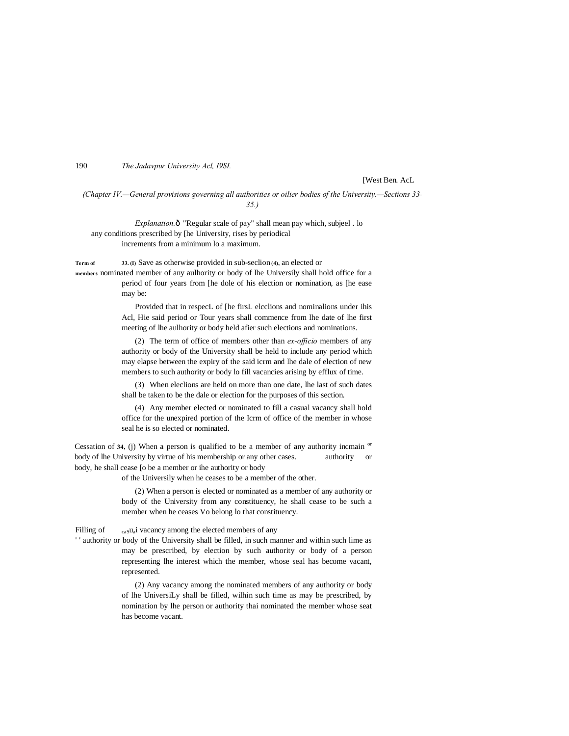190 *The Jadavpur University Acl, I9SI.*

[West Ben. AcL

*(Chapter IV.—General provisions governing all authorities or oilier bodies of the University.—Sections 33- 35.)*

*Explanation.* $\hat{o}$  "Regular scale of pay" shall mean pay which, subjeel . lo any conditions prescribed by [he University, rises by periodical increments from a minimum lo a maximum.

**Term of 33. (I)** Save as otherwise provided in sub-seclion**(4),** an elected or

**members** nominated member of any aulhority or body of lhe Universily shall hold office for a period of four years from [he dole of his election or nomination, as [he ease may be:

> Provided that in respecL of [he firsL elcclions and nominalions under ihis Acl, Hie said period or Tour years shall commence from lhe date of lhe first meeting of lhe aulhority or body held afier such elections and nominations.

> (2) The term of office of members other than *ex-officio* members of any authority or body of the University shall be held to include any period which may elapse between the expiry of the said icrm and lhe dale of election of new members to such authority or body lo fill vacancies arising by efflux of time.

> (3) When eleclions are held on more than one date, lhe last of such dates shall be taken to be the dale or election for the purposes of this section.

> (4) Any member elected or nominated to fill a casual vacancy shall hold office for the unexpired portion of the Icrm of office of the member in whose seal he is so elected or nominated.

Cessation of **34,** (i) When a person is qualified to be a member of any authority incmain  $\alpha$ body of lhe University by virtue of his membership or any other cases. authority or body, he shall cease [o be a member or ihe authority or body

of the Universily when he ceases to be a member of the other.

(2) When a person is elected or nominated as a member of any authority or body of the University from any constituency, he shall cease to be such a member when he ceases Vo belong lo that constituency.

Filling of  $_{\text{casu}_a}$  vacancy among the elected members of any

' ' authority or body of the University shall be filled, in such manner and within such lime as may be prescribed, by election by such authority or body of a person representing lhe interest which the member, whose seal has become vacant, represented.

> (2) Any vacancy among the nominated members of any authority or body of lhe UniversiLy shall be filled, wilhin such time as may be prescribed, by nomination by lhe person or authority thai nominated the member whose seat has become vacant.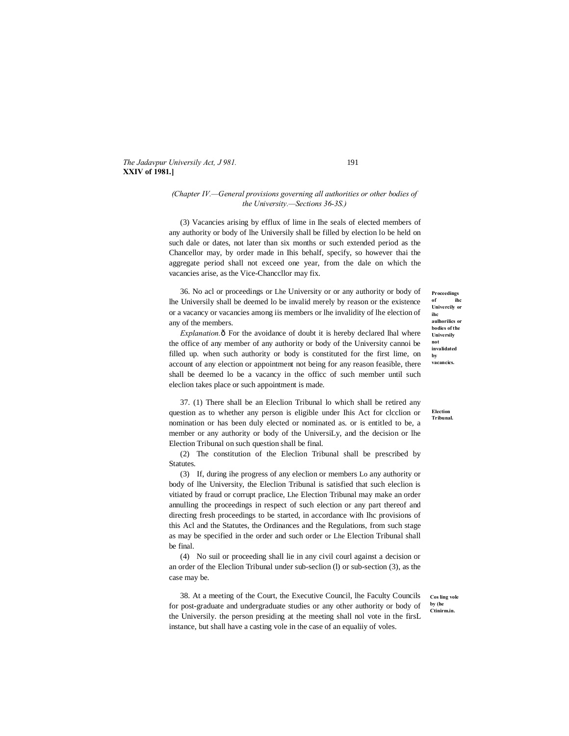*The Jadavpur Universily Act, J 981.* 191 **XXIV of 1981.]**

# *(Chapter IV.—General provisions governing all authorities or other bodies of the University.—Sections 36-3S.)*

(3) Vacancies arising by efflux of lime in Ihe seals of elected members of any authority or body of lhe Universily shall be filled by election lo be held on such dale or dates, not later than six months or such extended period as the Chancellor may, by order made in Ihis behalf, specify, so however thai the aggregate period shall not exceed one year, from the dale on which the vacancies arise, as the Vice-Chanccllor may fix.

36. No acl or proceedings or Lhe University or or any authority or body of lhe Universily shall be deemed lo be invalid merely by reason or the existence or a vacancy or vacancies among iis members or lhe invalidity of lhe election of any of the members.

*Explanation.* $\hat{o}$  For the avoidance of doubt it is hereby declared lhal where the office of any member of any authority or body of the University cannoi be filled up. when such authority or body is constituted for the first lime, on account of any election or appointment not being for any reason feasible, there shall be deemed lo be a vacancy in the officc of such member until such eleclion takes place or such appointment is made.

37. (1) There shall be an Eleclion Tribunal lo which shall be retired any question as to whether any person is eligible under Ihis Act for clcclion or nomination or has been duly elected or nominated as. or is entitled to be, a member or any authority or body of the UniversiLy, and the decision or lhe Election Tribunal on such question shall be final.

(2) The constitution of the Eleclion Tribunal shall be prescribed by **Statutes** 

(3) If, during ihe progress of any eleclion or members Lo any authority or body of lhe University, the Eleclion Tribunal is satisfied that such eleclion is vitiated by fraud or corrupt praclice, Lhe Election Tribunal may make an order annulling the proceedings in respect of such election or any part thereof and directing fresh proceedings to be started, in accordance with Ihc provisions of this Acl and the Statutes, the Ordinances and the Regulations, from such stage as may be specified in the order and such order or Lhe Election Tribunal shall be final.

(4) No suil or proceeding shall lie in any civil courl against a decision or an order of the Eleclion Tribunal under sub-seclion (l) or sub-section (3), as the case may be.

38. At a meeting of the Court, the Executive Council, lhe Faculty Councils for post-graduate and undergraduate studies or any other authority or body of the Universily. the person presiding at the meeting shall nol vote in the firsL instance, but shall have a casting vole in the case of an equaliiy of voles.

**Proceedings of** ihe **Univercily or ihc aulhorilics or bodies of the Universily not invalidated by vacancics.**

**Election Tribunal.**

**Cos ling vole by (he Ctinirm.in.**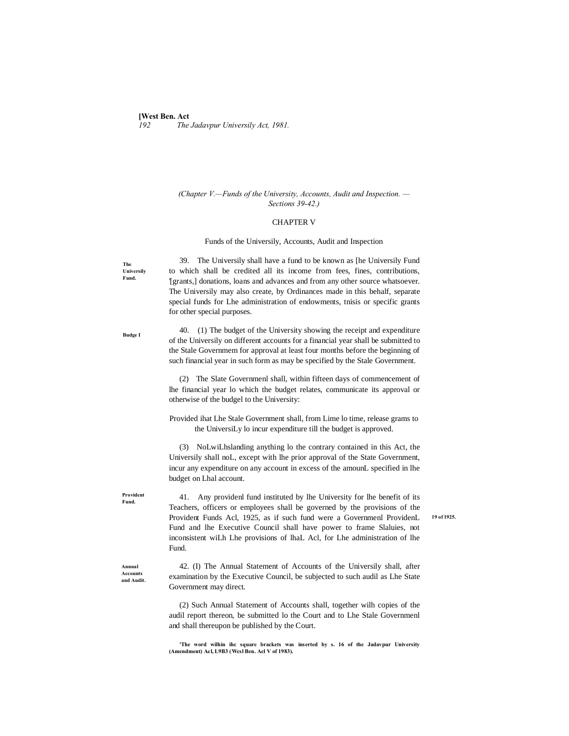#### **[West Ben. Act**]<br>192 The *192 The Jadavpur Universily Act, 1981.*

# *(Chapter V.—Funds of the University, Accounts, Audit and Inspection. — Sections 39-42.)*

#### CHAPTER V

#### Funds of the Universily, Accounts, Audit and Inspection

**The Universily Fund.**

**Budge I**

39. The Universily shall have a fund to be known as [he Universily Fund to which shall be credited all its income from fees, fines, contributions, '[grants,] donations, loans and advances and from any other source whatsoever. The Universily may also create, by Ordinances made in this behalf, separate special funds for Lhe administration of endowments, tnisis or specific grants for other special purposes.

40. (1) The budget of the University showing the receipt and expenditure of the Universily on different accounts for a financial year shall be submitted to the Stale Governmem for approval at least four months before the beginning of such financial year in such form as may be specified by the Stale Government.

(2) The Slate Governmenl shall, within fifteen days of commencement of lhe financial year lo which the budget relates, communicate its approval or otherwise of the budgel to the University:

Provided ihat Lhe Stale Government shall, from Lime lo time, release grams to the UniversiLy lo incur expenditure till the budget is approved.

(3) NoLwiLhslanding anything lo the contrary contained in this Act, the Universily shall noL, except with lhe prior approval of the State Government, incur any expenditure on any account in excess of the amounL specified in lhe budget on Lhal account.

41. Any providenl fund instituted by lhe University for lhe benefit of its Teachers, officers or employees shall be governed by the provisions of the Provident Funds Acl, 1925, as if such fund were a Governmenl ProvidenL Fund and lhe Executive Council shall have power to frame Slaluies, not inconsistent wiLh Lhe provisions of lhaL Acl, for Lhe administration of lhe Fund.

**19 of 1925.**

**Annual Accounts and Audit.**

**Provident Fund.**

> 42. (I) The Annual Statement of Accounts of the Universily shall, after examination by the Executive Council, be subjected to such audil as Lhe State Government may direct.

> (2) Such Annual Statement of Accounts shall, together wilh copies of the audil report thereon, be submitted lo the Court and to Lhe Stale Governmenl and shall thereupon be published by the Court.

> **'The word wilhin ihc square brackets was inserted by s. 16 of the Jadavpur University (Amendment) Acl, L9B3 (Wcsl Ben. Acl V of 1983).**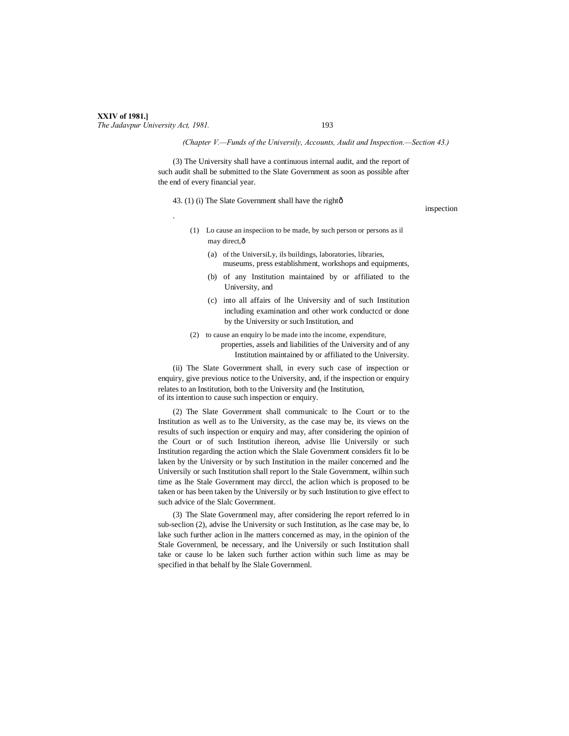### **XXIV of 1981.]** *The Jadavpur University Act, 1981.* 193

# *(Chapter V.—Funds of the Universily, Accounts, Audit and Inspection.—Section 43.)*

(3) The University shall have a continuous internal audit, and the report of such audit shall be submitted to the Slate Government as soon as possible after the end of every financial year.

43. (1) (i) The Slate Government shall have the right $\hat{o}$ 

inspection .

- (1) Lo cause an inspeciion to be made, by such person or persons as il may direct, ô
	- (a) of the UniversiLy, ils buildings, laboratories, libraries, museums, press establishment, workshops and equipments,
	- (b) of any Institution maintained by or affiliated to the University, and
	- (c) into all affairs of lhe University and of such Institution including examination and other work conductcd or done by the University or such Institution, and
- (2) to cause an enquiry lo be made into the income, expenditure, properties, assels and liabilities of the University and of any Institution maintained by or affiliated to the University.

(ii) The Slate Government shall, in every such case of inspection or enquiry, give previous notice to the University, and, if the inspection or enquiry relates to an Institution, both to the University and (he Institution, of its intention to cause such inspection or enquiry.

(2) The Slate Government shall communicalc to lhe Court or to the Institution as well as to lhe University, as the case may be, its views on the results of such inspection or enquiry and may, after considering the opinion of the Court or of such Institution ihereon, advise llie Universily or such Institution regarding the action which the Slale Government considers fit lo be laken by the University or by such Institution in the mailer concerned and lhe Universily or such Institution shall report lo the Stale Government, wilhin such time as lhe Stale Government may dirccl, the aclion which is proposed to be taken or has been taken by the Universily or by such Institution to give effect to such advice of the Slalc Government.

(3) The Slate Governmenl may, after considering lhe report referred lo in sub-seclion (2), advise lhe University or such Institution, as lhe case may be, lo lake such further aclion in lhe matters concerned as may, in the opinion of the Stale Governmenl, be necessary, and lhe Universily or such Institution shall take or cause lo be laken such further action within such lime as may be specified in that behalf by lhe Slale Governmenl.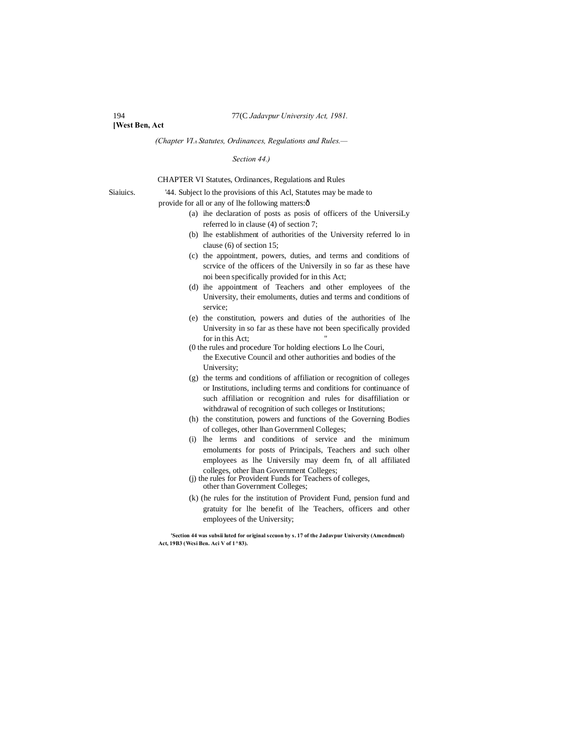**[West Ben, Act**

*(Chapter VI.*—*Statutes, Ordinances, Regulations and Rules.—*

*Section 44.)*

CHAPTER VI Statutes, Ordinances, Regulations and Rules

Siaiuics. '44. Subject lo the provisions of this Acl, Statutes may be made to

provide for all or any of lhe following matters: $\hat{o}$ 

- (a) ihe declaration of posts as posis of officers of the UniversiLy referred lo in clause (4) of section 7;
- (b) lhe establishment of authorities of the University referred lo in clause (6) of section 15;
- (c) the appointment, powers, duties, and terms and conditions of scrvice of the officers of the Universily in so far as these have noi been specifically provided for in this Act;
- (d) ihe appointment of Teachers and other employees of the University, their emoluments, duties and terms and conditions of service;
- (e) the constitution, powers and duties of the authorities of lhe University in so far as these have not been specifically provided for in this Act;
- (0 the rules and procedure Tor holding elections Lo lhe Couri, the Executive Council and other authorities and bodies of the University;
- (g) the terms and conditions of affiliation or recognition of colleges or Institutions, including terms and conditions for continuance of such affiliation or recognition and rules for disaffiliation or withdrawal of recognition of such colleges or Institutions;
- (h) the constitution, powers and functions of the Governing Bodies of colleges, other lhan Governmenl Colleges;
- (i) lhe lerms and conditions of service and the minimum emoluments for posts of Principals, Teachers and such olher employees as lhe Universily may deem fn, of all affiliated colleges, other lhan Government Colleges;
- (j) the rules for Provident Funds for Teachers of colleges, other than Government Colleges;
- (k) (he rules for the institution of Provident Fund, pension fund and gratuity for lhe benefit of lhe Teachers, officers and other employees of the University;

**'Section 44 was subsii luted for original sccuon by s. 17 of the Jadavpur University (Amendmenl) Act, 19B3 (Wcsi Ben. Aci V of 1^83).**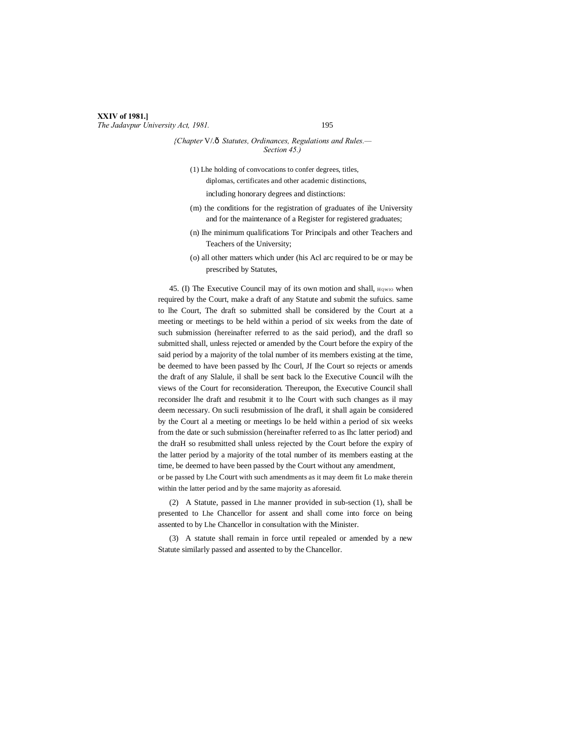### **XXIV of 1981.]** *The Jadavpur University Act, 1981.* 195

### *{Chapter* V/.—*Statutes, Ordinances, Regulations and Rules.— Section 45.)*

(1) Lhe holding of convocations to confer degrees, titles, diplomas, certificates and other academic distinctions,

including honorary degrees and distinctions:

- (m) the conditions for the registration of graduates of ihe University and for the maintenance of a Register for registered graduates;
- (n) Ihe minimum qualifications Tor Principals and other Teachers and Teachers of the University;
- (o) all other matters which under (his Acl arc required to be or may be prescribed by Statutes,

45. (I) The Executive Council may of its own motion and shall,  $_{\text{HQWD}}$  when required by the Court, make a draft of any Statute and submit the sufuics. same to lhe Court, The draft so submitted shall be considered by the Court at a meeting or meetings to be held within a period of six weeks from the date of such submission (hereinafter referred to as the said period), and the drafl so submitted shall, unless rejected or amended by the Court before the expiry of the said period by a majority of the tolal number of its members existing at the time, be deemed to have been passed by Ihc Courl, Jf Ihe Court so rejects or amends the draft of any Slalule, il shall be sent back lo the Executive Council wilh the views of the Court for reconsideration. Thereupon, the Executive Council shall reconsider lhe draft and resubmit it to lhe Court with such changes as il may deem necessary. On sucli resubmission of lhe drafl, it shall again be considered by the Court al a meeting or meetings lo be held within a period of six weeks from the date or such submission (hereinafter referred to as Ihc latter period) and the draH so resubmitted shall unless rejected by the Court before the expiry of the latter period by a majority of the total number of its members easting at the time, be deemed to have been passed by the Court without any amendment, or be passed by Lhe Court with such amendments as it may deem fit Lo make therein

within the latter period and by the same majority as aforesaid.

(2) A Statute, passed in Lhe manner provided in sub-section (1), shall be presented to Lhe Chancellor for assent and shall come into force on being assented to by Lhe Chancellor in consultation with the Minister.

(3) A statute shall remain in force until repealed or amended by a new Statute similarly passed and assented to by the Chancellor.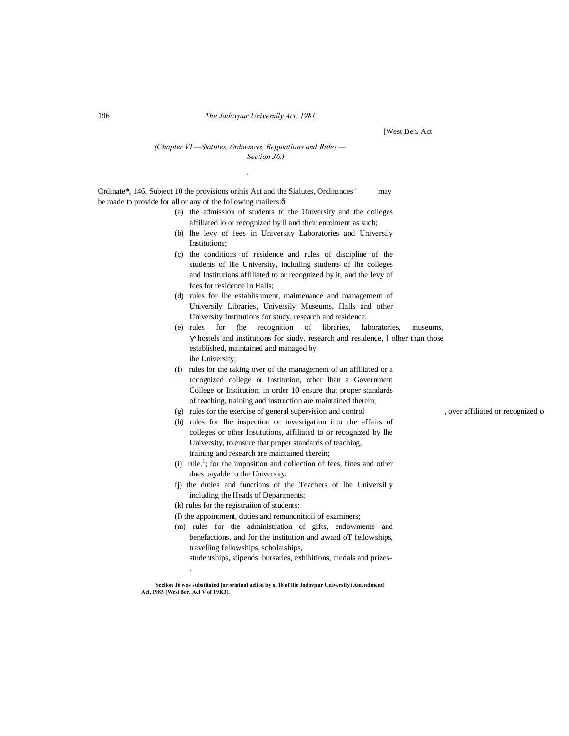[West Ben. Act

## *(Chapter VI.—Statutes, Ordinances, Regulations and Rules.— Section J6.)*

*,*

Ordinate\*, 146. Subject 10 the provisions orihis Act and the Slalutes, Ordinances ' may be made to provide for all or any of the following mailers: $\delta$ 

- (a) the admission of students to the University and the colleges affiliated lo or recognized by il and their enrolment as such;
- (b) lhe levy of fees in University Laboratories and Universily Institutions;
- (c) the conditions of residence and rules of discipline of the students of llie University, including students of lhe colleges and Institutions affiliated to or recognized by it, and the levy of fees for residence in Halls;
- (d) rules for lhe establishment, maintenance and management of Universily Libraries, Universily Museums, Halls and other University Institutions for study, research and residence;
- (e) rules for (he recognition of libraries, laboratories, museums, hostels and institutions for siudy, research and residence, I olher than those established, maintained and managed by ihe University;
- (f) rules lor the taking over of the management of an affiliated or a rccognized college or Institution, other lhan a Government College or Institution, in order 10 ensure that proper standards of teaching, training and instruction are maintained therein;
- (g) rules for the exercise of general supervision and control , over affiliated or recognized  $\mathbf{c}_1$
- (h) rules for lhe inspection or investigation into the affairs of colleges or other Institutions, affiliated to or recognized by lhe University, to ensure that proper standards of teaching, training and research are maintained therein;
- $(i)$  rule.<sup>1</sup>; for the imposition and collection of fees, fines and other dues payable to the University;
- fj) the duties and functions of the Teachers of lhe UniversiLy including the Heads of Departments;
- (k) rules for the registraiion of students:

.

- (I) the appointment, duties and remuncnitioii of examiners;
- (m) rules for the administration of gifts, endowments and benefactions, and for the institution and award oT fellowships, travelling fellowships, scholarships,
	- studentships, stipends, bursaries, exhibitions, medals and prizes-

**'Scclion J6 was substituted [or original aclion by s. 18 of llie Jadavpur Universily (Amendment) Acl, 1983 (Wcsi Ber. Acl V of 19K3).**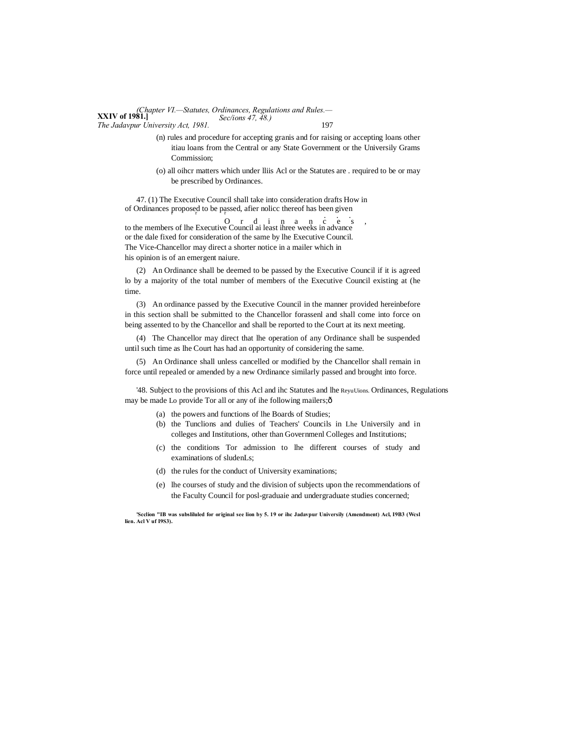**XXIV of 1981.]** *(Chapter VI.—Statutes, Ordinances, Regulations and Rules.— The Jadavpur University Act, 1981.* 197 *Sec/ions 47, 48.)*

> (n) rules and procedure for accepting granis and for raising or accepting loans other itiau loans from the Central or any State Government or the Universily Grams Commission;

> (o) all oihcr matters which under lliis Acl or the Statutes are . required to be or may be prescribed by Ordinances.

47. (1) The Executive Council shall take into consideration drafts How in

of Ordinances proposed to be passed, afier nolicc thereof has been given<br>to the members of lhe Executive Council ai least ihree weeks in advance<br> $\frac{1}{2}$ or the dale fixed for consideration of the same by lhe Executive Council. The Vice-Chancellor may direct a shorter notice in a mailer which in his opinion is of an emergent naiure.

(2) An Ordinance shall be deemed to be passed by the Executive Council if it is agreed lo by a majority of the total number of members of the Executive Council existing at (he time.

(3) An ordinance passed by the Executive Council in the manner provided hereinbefore in this section shall be submitted to the Chancellor forassenl and shall come into force on being assented to by the Chancellor and shall be reported to the Court at its next meeting.

(4) The Chancellor may direct that lhe operation of any Ordinance shall be suspended until such time as lhe Court has had an opportunity of considering the same.

(5) An Ordinance shall unless cancelled or modified by the Chancellor shall remain in force until repealed or amended by a new Ordinance similarly passed and brought into force.

'48. Subject to the provisions of this Acl and ihc Statutes and lhe ReyuUions. Ordinances, Regulations may be made Lo provide Tor all or any of ihe following mailers; $\hat{o}$ 

- (a) the powers and functions of lhe Boards of Studies;
- (b) the Tunclions and dulies of Teachers' Councils in Lhe Universily and in colleges and Institutions, other than Governmenl Colleges and Institutions;
- (c) the conditions Tor admission to lhe different courses of study and examinations of sludenLs;
- (d) the rules for the conduct of University examinations;
- (e) lhe courses of study and the division of subjects upon the recommendations of the Faculty Council for posl-graduaie and undergraduate studies concerned;

**'Scclion "IB was subsliluled for original see lion by 5. 19 or ihc Jadavpur Universily (Amendment) Acl, I9B3 (Wcsl lien. Acl V uf I9S3).**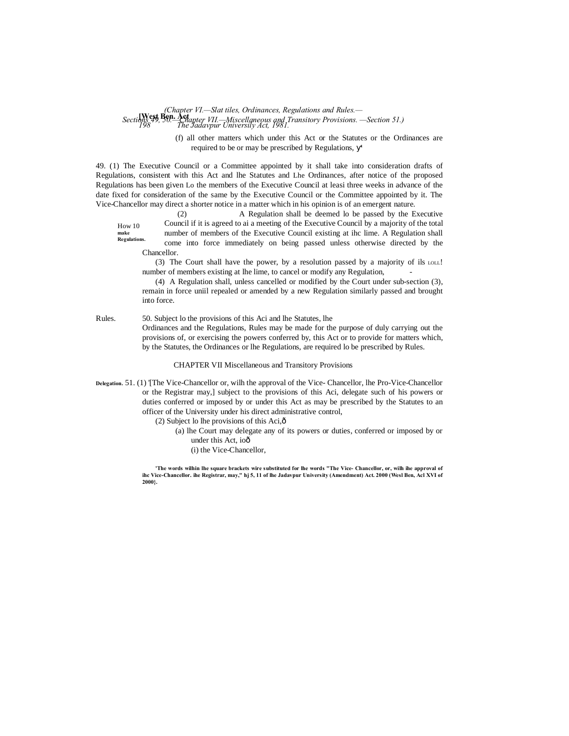#### **[West Ben. Act** *198 The Jadavpur Universily Act, 1981. Sections 49, 50.—Chapter VII.—Miscellaneous and Transitory Provisions. —Section 51.) (Chapter VI.—Slat tiles, Ordinances, Regulations and Rules.—*

(f) all other matters which under this Act or the Statutes or the Ordinances are required to be or may be prescribed by Regulations, '

49. (1) The Executive Council or a Committee appointed by it shall take into consideration drafts of Regulations, consistent with this Act and lhe Statutes and Lhe Ordinances, after notice of the proposed Regulations has been given Lo the members of the Executive Council at leasi three weeks in advance of the date fixed for consideration of the same by the Executive Council or the Committee appointed by it. The Vice-Chancellor may direct a shorter notice in a matter which in his opinion is of an emergent nature.

How 10 **Regulations.** (2) A Regulation shall be deemed lo be passed by the Executive Council if it is agreed to ai a meeting of the Executive Council by a majority of the total number of members of the Executive Council existing at ihc lime. A Regulation shall come into force immediately on being passed unless otherwise directed by the Chancellor.

(3) The Court shall have the power, by a resolution passed by a majority of ils LOLL! number of members existing at lhe lime, to cancel or modify any Regulation,

(4) A Regulation shall, unless cancelled or modified by the Court under sub-section (3), remain in force uniil repealed or amended by a new Regulation similarly passed and brought into force.

Rules. 50. Subject lo the provisions of this Aci and lhe Statutes, lhe Ordinances and the Regulations, Rules may be made for the purpose of duly carrying out the provisions of, or exercising the powers conferred by, this Act or to provide for matters which, by the Statutes, the Ordinances or lhe Regulations, are required lo be prescribed by Rules.

CHAPTER VII Miscellaneous and Transitory Provisions

**Delegation.** 51. (1) '[The Vice-Chancellor or, wilh the approval of the Vice- Chancellor, lhe Pro-Vice-Chancellor or the Registrar may,] subject to the provisions of this Aci, delegate such of his powers or duties conferred or imposed by or under this Act as may be prescribed by the Statutes to an officer of the University under his direct administrative control,

 $(2)$  Subject lo lhe provisions of this Aci, $\hat{\sigma}$ 

**make**

- (a) lhe Court may delegate any of its powers or duties, conferred or imposed by or under this Act, ioô
	- (i) the Vice-Chancellor,

**'The words wilhin lhe square brackets wire substituted for lhe words "The Vice- Chancellor, or, wilh ihe approval of ihc Vice-Chancellor. ihe Registrar, may," hj 5, 11 of lhe Jadavpur University (Amendment) Act. 2000 (Wesl Ben, Acl XVI of 2000}.**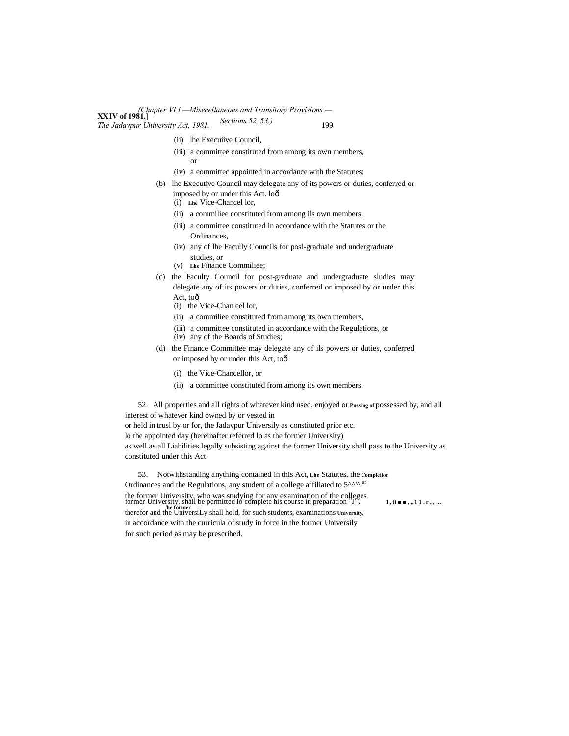#### **XXIV of 1981.]** *(Chapter VI I.—Misecellaneous and Transitory Provisions.— The Jadavpur University Act, 1981.* Sections 32, 33.*j* 199 *Sections 52, 53.)*

- (ii) lhe Execuiive Council,
- (iii) a committee constituted from among its own members, or
- (iv) a eommittec appointed in accordance with the Statutes;
- (b) lhe Executive Council may delegate any of its powers or duties, conferred or imposed by or under this Act. lo—
	- (i) **Lhe** Vice-Chancel lor,
	- (ii) a commiliee constituted from among ils own members,
	- (iii) a committee constituted in accordance with the Statutes or the Ordinances,
	- (iv) any of lhe Facully Councils for posl-graduaie and undergraduate studies, or
	- (v) **Lhe** Finance Commiliee;
- (c) the Faculty Council for post-graduate and undergraduate sludies may delegate any of its powers or duties, conferred or imposed by or under this Act, toô
	- (i) the Vice-Chan eel lor,
	- (ii) a commiliee constituted from among its own members,
	- (iii) a committee constituted in accordance with the Regulations, or
	- (iv) any of the Boards of Studies;
- (d) the Finance Committee may delegate any of ils powers or duties, conferred or imposed by or under this Act, toô
	- (i) the Vice-Chancellor, or
	- (ii) a committee constituted from among its own members.

52. All properties and all rights of whatever kind used, enjoyed or **Pnssing of** possessed by, and all interest of whatever kind owned by or vested in or held in trusl by or for, the Jadavpur Universily as constituted prior etc. lo the appointed day (hereinafter referred lo as the former University) as well as all Liabilities legally subsisting against the former University shall pass to the University as constituted under this Act.

53. Notwithstanding anything contained in this Act, **Lhe** Statutes, the **Compleiion** Ordinances and the Regulations, any student of a college affiliated to  $5^{\wedge\wedge'\wedge}$  af the former University, who was studying for any examination of the colleges<br>former University, shall be permitted lo complete his course in preparation  $J^{\dagger}$ . 1,  $\mathbf{t} \bullet \bullet$ , 11. $\mathbf{r}$ , ...<br>therefor and the Universi in accordance with the curricula of study in force in the former Universily for such period as may be prescribed.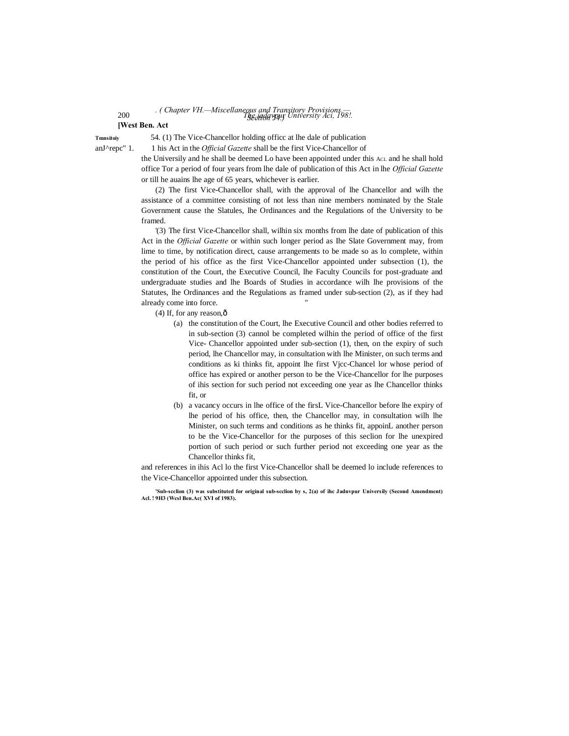#### 200 *The jadavpur University Aci, 198!. . ( Chapter VH.—Miscellaneous and Transitory Provisions.— Section 54.)*

### **[West Ben. Act**

**Tmnsitoiy** 54. (1) The Vice-Chancellor holding officc at lhe dale of publication

anJ^repc" 1. 1 his Act in the *Official Gazette* shall be the first Vice-Chancellor of

the Universily and he shall be deemed Lo have been appointed under this ACL and he shall hold office Tor a period of four years from lhe dale of publication of this Act in lhe *Official Gazette* or till he auains lhe age of 65 years, whichever is earlier.

(2) The first Vice-Chancellor shall, with the approval of lhe Chancellor and wilh the assistance of a committee consisting of not less than nine members nominated by the Stale Government cause the Slatules, lhe Ordinances and the Regulations of the University to be framed.

'(3) The first Vice-Chancellor shall, wilhin six months from lhe date of publication of this Act in the *Official Gazette* or within such longer period as Ihe Slate Government may, from lime to time, by notification direct, cause arrangements to be made so as lo complete, within the period of his office as the first Vice-Chancellor appointed under subsection (1), the constitution of the Court, the Executive Council, lhe Faculty Councils for post-graduate and undergraduate studies and lhe Boards of Studies in accordance wilh lhe provisions of the Statutes, lhe Ordinances and the Regulations as framed under sub-section (2), as if they had already come into force.

- $(4)$  If, for any reason, $\hat{0}$ 
	- (a) the constitution of the Court, lhe Executive Council and other bodies referred to in sub-section (3) cannol be completed wilhin the period of office of the first Vice- Chancellor appointed under sub-section (1), then, on the expiry of such period, lhe Chancellor may, in consultation with lhe Minister, on such terms and conditions as ki thinks fit, appoint lhe first Vjcc-Chancel lor whose period of office has expired or another person to be the Vice-Chancellor for lhe purposes of ihis section for such period not exceeding one year as lhe Chancellor thinks fit, or
	- (b) a vacancy occurs in lhe office of the firsL Vice-Chancellor before lhe expiry of lhe period of his office, then, the Chancellor may, in consultation wilh lhe Minister, on such terms and conditions as he thinks fit, appoinL another person to be the Vice-Chancellor for the purposes of this seclion for lhe unexpired portion of such period or such further period not exceeding one year as the Chancellor thinks fit,

and references in ihis Acl lo the first Vice-Chancellor shall be deemed lo include references to the Vice-Chancellor appointed under this subsection.

**'Sub-scclion (3) was substituted for original sub-scclion by s, 2(a) of ihc Jadnvpur Universily (Second Amendment) Acl. ! 9H3 (Wcsl Ben.Ac( XVI of 1983).**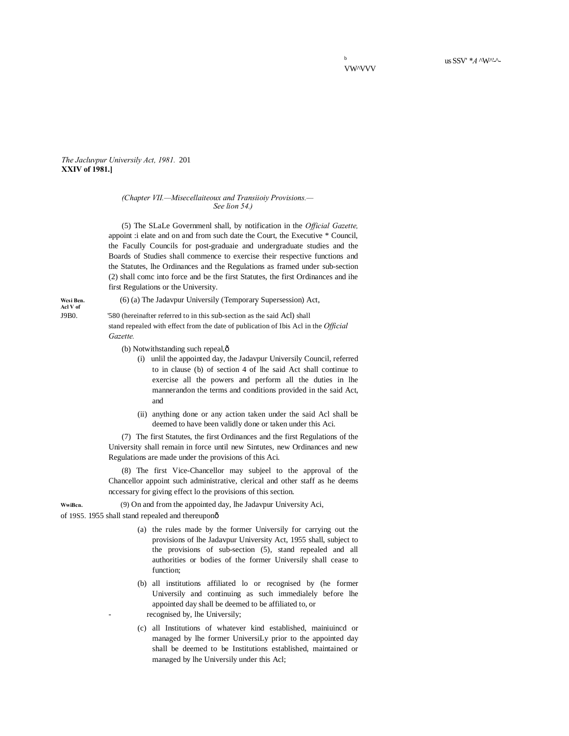*The Jacluvpur Universily Act, 1981.* 201 **XXIV of 1981.]**

#### *(Chapter VII.—Misecellaiteoux and Transiioiy Provisions.— See lion 54.)*

(5) The SLaLe Governmenl shall, by notification in the *Official Gazette,*  appoint :i elate and on and from such date the Court, the Executive \* Council, the Facully Councils for post-graduaie and undergraduate studies and the Boards of Studies shall commence to exercise their respective functions and the Statutes, lhe Ordinances and the Regulations as framed under sub-section (2) shall comc into force and be the first Statutes, the first Ordinances and ihe first Regulations or the University.

Wesi Ben. (6) (a) The Jadavpur Universily (Temporary Supersession) Act, Acl V of **Acl V of <sup>1</sup>**

J9B0. '580 (hereinafter referred to in this sub-section as the said Acl) shall stand repealed with effect from the date of publication of Ibis Acl in the *Official Gazette.*

(b) Notwithstanding such repeal, $\hat{o}$ 

- (i) unlil the appointed day, the Jadavpur Universily Council, referred to in clause (b) of section 4 of lhe said Act shall continue to exercise all the powers and perform all the duties in lhe mannerandon the terms and conditions provided in the said Act, and
- (ii) anything done or any action taken under the said Acl shall be deemed to have been validly done or taken under this Aci.

(7) The first Statutes, the first Ordinances and the first Regulations of the University shall remain in force until new Sintutes, new Ordinances and new Regulations are made under the provisions of this Aci.

(8) The first Vice-Chancellor may subjeel to the approval of the Chancellor appoint such administrative, clerical and other staff as he deems nccessary for giving effect lo the provisions of this section.

**WwiBcn.** (9) On and from the appointed day, lhe Jadavpur University Aci,

of 19S5. 1955 shall stand repealed and thereuponô

- (a) the rules made by the former Universily for carrying out the provisions of lhe Jadavpur University Act, 1955 shall, subject to the provisions of sub-section (5), stand repealed and all authorities or bodies of the former Universily shall cease to function;
- (b) all institutions affiliated lo or recognised by (he former Universily and continuing as such immedialely before lhe appointed day shall be deemed to be affiliated to, or recognised by, lhe Universily;
- (c) all Institutions of whatever kind established, mainiuincd or managed by lhe former UniversiLy prior to the appointed day shall be deemed to be Institutions established, maintained or managed by lhe Universily under this Acl;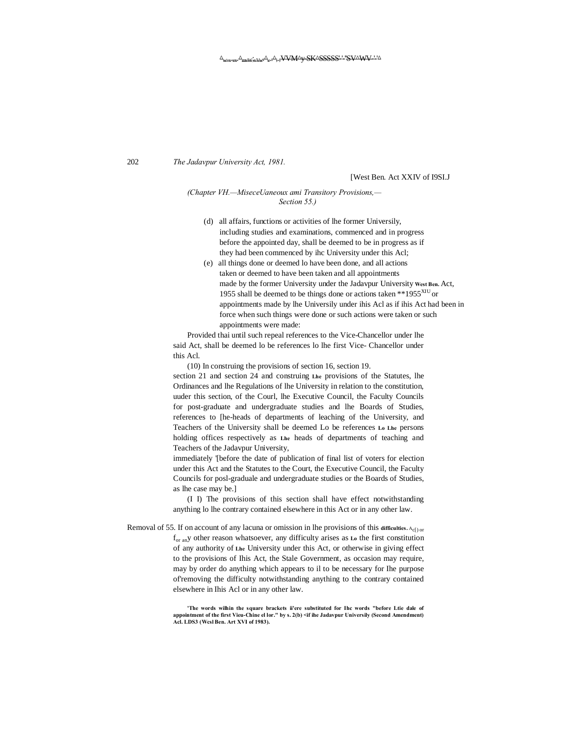202 *The Jadavpur University Act, 1981.*

## [West Ben. Act XXIV of I9SI.J

### *(Chapter VH.—MiseceUaneoux ami Transitory Provisions,— Section 55.)*

- (d) all affairs, functions or activities of lhe former Universily, including studies and examinations, commenced and in progress before the appointed day, shall be deemed to be in progress as if they had been commenced by ihc University under this Acl;
- (e) all things done or deemed lo have been done, and all actions taken or deemed to have been taken and all appointments made by the former University under the Jadavpur University **West Ben.** Act, 1955 shall be deemed to be things done or actions taken \*\*1955 $^{XIU}$  or appointments made by lhe Universily under ihis Acl as if ihis Act had been in force when such things were done or such actions were taken or such appointments were made:

Provided thai until such repeal references to the Vice-Chancellor under lhe said Act, shall be deemed lo be references lo lhe first Vice- Chancellor under this Acl.

(10) In construing the provisions of section 16, section 19.

section 21 and section 24 and construing **Lhe** provisions of the Statutes, lhe Ordinances and lhe Regulations of lhe University in relation to the constitution, uuder this section, of the Courl, lhe Executive Council, the Faculty Councils for post-graduate and undergraduate studies and lhe Boards of Studies, references to [he-heads of departments of leaching of the University, and Teachers of the University shall be deemed Lo be references **Lo Lhe** persons holding offices respectively as **Lhe** heads of departments of teaching and Teachers of the Jadavpur University,

immediately '[before the date of publication of final list of voters for election under this Act and the Statutes to the Court, the Executive Council, the Faculty Councils for posl-graduale and undergraduate studies or the Boards of Studies, as lhe case may be.]

(I I) The provisions of this section shall have effect notwithstanding anything lo lhe contrary contained elsewhere in this Act or in any other law.

Removal of 55. If on account of any lacuna or omission in lhe provisions of this difficulties. A<sub>c[) or</sub> for any other reason whatsoever, any difficulty arises as **Lo** the first constitution of any authority of **Lhe** University under this Act, or otherwise in giving effect to the provisions of Ihis Act, the Stale Government, as occasion may require, may by order do anything which appears to il to be necessary for Ihe purpose of'removing the difficulty notwithstanding anything to the contrary contained elsewhere in Ihis Acl or in any other law.

> 'The words wilhin the square brackets ii'ere substituted for Ihc words "before Ltie dale of **appointment of the first Vieu-Chine el lor." by s. 2(b) <if ihe Jadavpur Universily (Second Amendment) Acl. LDS3 (Wcsl Ben. Art XVI of 1983).**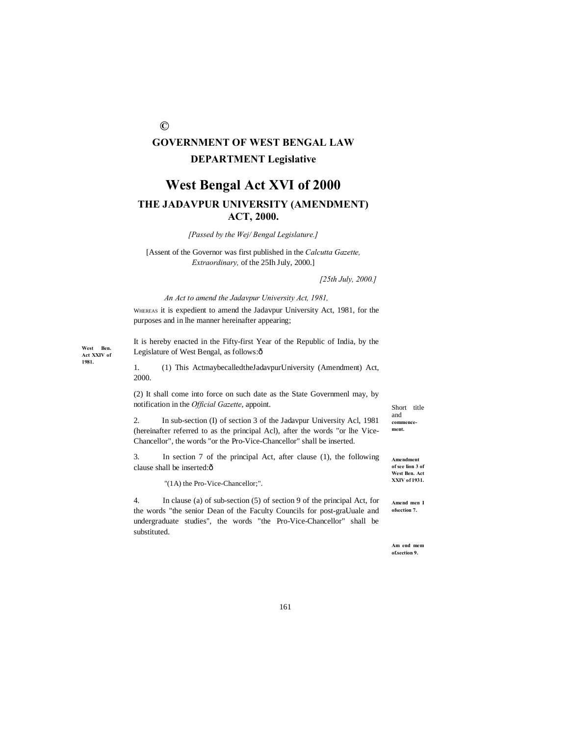# **GOVERNMENT OF WEST BENGAL LAW DEPARTMENT Legislative**

**©**

# **West Bengal Act XVI of 2000 THE JADAVPUR UNIVERSITY (AMENDMENT) ACT, 2000.**

*[Passed by the Wej/ Bengal Legislature.]*

[Assent of the Governor was first published in the *Calcutta Gazette, Extraordinary,* of the 25Ih July, 2000.]

*[25th July, 2000.]* 

#### *An Act to amend the Jadavpur University Act, 1981,*

WHEREAS it is expedient to amend the Jadavpur University Act, 1981, for the purposes and in lhe manner hereinafter appearing;

It is hereby enacted in the Fifty-first Year of the Republic of India, by the Legislature of West Bengal, as follows: $\hat{o}$ 

**West Ben. Act XXIV of 1981.**

1. (1) This ActmaybecalledtheJadavpurUniversity (Amendment) Act, 2000.

(2) It shall come into force on such date as the State Governmenl may, by notification in the *Official Gazette*, appoint.

2. In sub-section (I) of section 3 of the Jadavpur University Acl, 1981 (hereinafter referred to as the principal Acl), after the words "or lhe Vice-Chancellor", the words "or the Pro-Vice-Chancellor" shall be inserted.

3. In section 7 of the principal Act, after clause (1), the following clause shall be inserted: $\hat{o}$ 

"(1A) the Pro-Vice-Chancellor;".

4. In clause (a) of sub-section (5) of section 9 of the principal Act, for the words "the senior Dean of the Faculty Councils for post-graUuale and undergraduate studies", the words "the Pro-Vice-Chancellor" shall be substituted.

Short title and **commencement. Amendment** 

**of see lion 3 of West Ben. Act XXIV of 1931.**

**Amend men I ofsection 7.**

**Am end mem of.section 9.**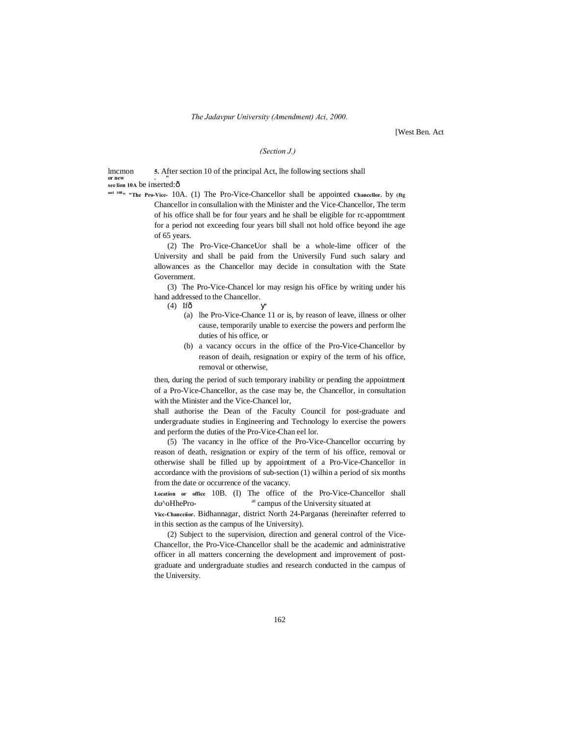[West Ben. Act

### *(Section J.)*

**1** Imcmon **5.** After section 10 of the principal Act, lhe following sections shall **or new . " see lion 10A** be inserted:—

**nntl 10B" "The Pro-Vice-** 10A. (1) The Pro-Vice-Chancellor shall be appointed **Chancellor.** by **(ftg** Chancellor in consullalion with the Minister and the Vice-Chancellor, The term of his office shall be for four years and he shall be eligible for rc-appomtment for a period not exceeding four years bill shall not hold office beyond ihe age of 65 years.

> (2) The Pro-Vice-ChanceUor shall be a whole-lime officer of the University and shall be paid from the Universily Fund such salary and allowances as the Chancellor may decide in consultation with the State Government.

> (3) The Pro-Vice-Chancel lor may resign his oFfice by writing under his hand addressed to the Chancellor.

- $(4)$  If $\hat{\sigma}$ 
	- (a) lhe Pro-Vice-Chance 11 or is, by reason of leave, illness or olher cause, temporarily unable to exercise the powers and perform lhe duties of his office, or
	- (b) a vacancy occurs in the office of the Pro-Vice-Chancellor by reason of deaih, resignation or expiry of the term of his office, removal or otherwise,

then, during the period of such temporary inability or pending the appointment of a Pro-Vice-Chancellor, as the case may be, the Chancellor, in consultation with the Minister and the Vice-Chancel lor,

shall authorise the Dean of the Faculty Council for post-graduate and undergraduate studies in Engineering and Technology lo exercise the powers and perform the duties of the Pro-Vice-Chan eel lor.

(5) The vacancy in lhe office of the Pro-Vice-Chancellor occurring by reason of death, resignation or expiry of the term of his office, removal or otherwise shall be filled up by appointment of a Pro-Vice-Chancellor in accordance with the provisions of sub-section (1) wilhin a period of six months from the date or occurrence of the vacancy.

**Location or office** 10B. (I) The office of the Pro-Vice-Chancellor shall du<sup> $\sim$ </sup>oHhePro- <sup>at</sup> campus of the University situated at

**Vicc-Chanceiior.** Bidhannagar, district North 24-Parganas (hereinafter referred to in this section as the campus of lhe University).

(2) Subject to the supervision, direction and general control of the Vice-Chancellor, the Pro-Vice-Chancellor shall be the academic and administrative officer in all matters concerning the development and improvement of postgraduate and undergraduate studies and research conducted in the campus of the University.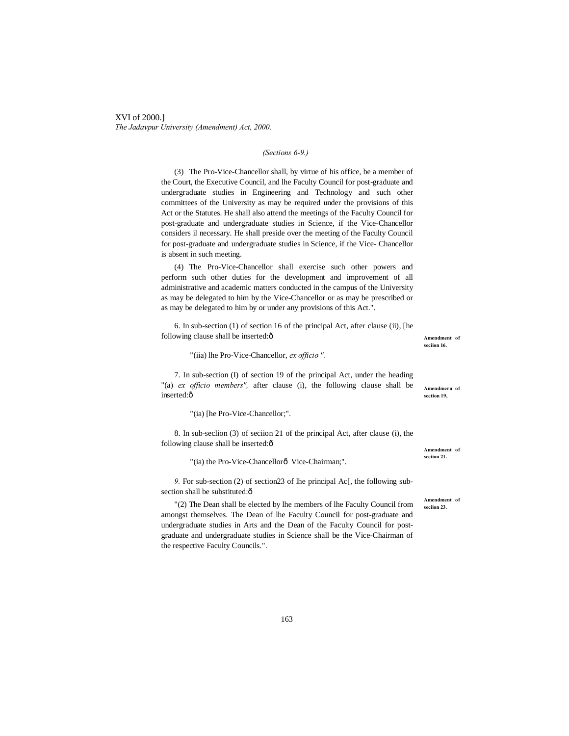XVI of 2000.] *The Jadavpur University (Amendment) Act, 2000.*

# *(Sections 6-9.)*

(3) The Pro-Vice-Chancellor shall, by virtue of his office, be a member of the Court, the Executive Council, and lhe Faculty Council for post-graduate and undergraduate studies in Engineering and Technology and such other committees of the University as may be required under the provisions of this Act or the Statutes. He shall also attend the meetings of the Faculty Council for post-graduate and undergraduate studies in Science, if the Vice-Chancellor considers il necessary. He shall preside over the meeting of the Faculty Council for post-graduate and undergraduate studies in Science, if the Vice- Chancellor is absent in such meeting.

(4) The Pro-Vice-Chancellor shall exercise such other powers and perform such other duties for the development and improvement of all administrative and academic matters conducted in the campus of the University as may be delegated to him by the Vice-Chancellor or as may be prescribed or as may be delegated to him by or under any provisions of this Act.".

6. In sub-section (1) of section 16 of the principal Act, after clause (ii), [he following clause shall be inserted: $\hat{o}$ 

"(iia) lhe Pro-Vice-Chancellor, *ex officio ".*

7. In sub-section (I) of section 19 of the principal Act, under the heading "(a) *ex officio members",* after clause (i), the following clause shall be inserted:ô

"(ia) [he Pro-Vice-Chancellor;".

8. In sub-seclion (3) of seciion 21 of the principal Act, after clause (i), the following clause shall be inserted: $\hat{o}$ 

"(ia) the Pro-Vice-Chancellorô Vice-Chairman;".

*9.* For sub-section (2) of section23 of lhe principal Ac[, the following subsection shall be substituted: $\hat{o}$ 

"(2) The Dean shall be elected by lhe members of lhe Faculty Council from amongst themselves. The Dean of lhe Faculty Council for post-graduate and undergraduate studies in Arts and the Dean of the Faculty Council for postgraduate and undergraduate studies in Science shall be the Vice-Chairman of the respective Faculty Councils.".

**Amendment of seciion 16.**

**Amendmeru of section 19,**

**Amendment of scciion 21.**

**Amendment of seciion 23.**